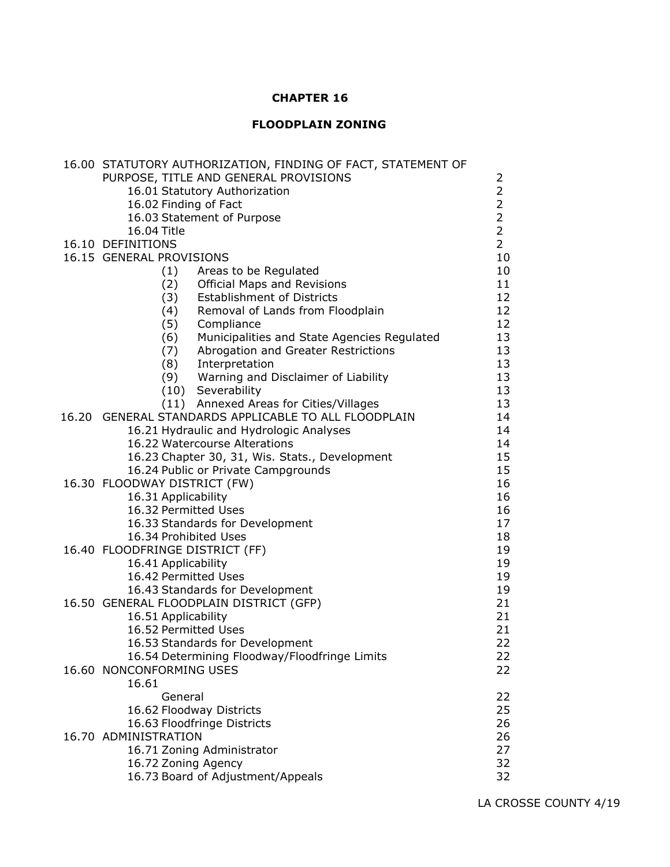# **CHAPTER 16**

# **FLOODPLAIN ZONING**

| 16.00 STATUTORY AUTHORIZATION, FINDING OF FACT, STATEMENT OF |                |
|--------------------------------------------------------------|----------------|
| PURPOSE, TITLE AND GENERAL PROVISIONS                        | 2              |
| 16.01 Statutory Authorization                                | $\overline{2}$ |
| 16.02 Finding of Fact                                        | $\overline{2}$ |
| 16.03 Statement of Purpose                                   | $\overline{2}$ |
| 16.04 Title                                                  | $\overline{2}$ |
| 16.10 DEFINITIONS                                            | $\overline{2}$ |
| 16.15 GENERAL PROVISIONS                                     | 10             |
| (1) Areas to be Regulated                                    | 10             |
| (2) Official Maps and Revisions                              | 11             |
| (3) Establishment of Districts                               | 12             |
| (4) Removal of Lands from Floodplain                         | 12             |
| (5) Compliance                                               | 12             |
| (6) Municipalities and State Agencies Regulated              | 13             |
| (7) Abrogation and Greater Restrictions                      | 13             |
| (8) Interpretation                                           | 13             |
| (9) Warning and Disclaimer of Liability                      | 13             |
| (10) Severability                                            | 13             |
| (11) Annexed Areas for Cities/Villages                       | 13             |
| 16.20 GENERAL STANDARDS APPLICABLE TO ALL FLOODPLAIN         | 14             |
| 16.21 Hydraulic and Hydrologic Analyses                      | 14             |
| 16.22 Watercourse Alterations                                | 14             |
| 16.23 Chapter 30, 31, Wis. Stats., Development               | 15             |
| 16.24 Public or Private Campgrounds                          | 15             |
| 16.30 FLOODWAY DISTRICT (FW)                                 | 16             |
| 16.31 Applicability                                          | 16             |
| 16.32 Permitted Uses                                         | 16             |
| 16.33 Standards for Development                              | 17             |
| 16.34 Prohibited Uses                                        | 18             |
| 16.40 FLOODFRINGE DISTRICT (FF)                              | 19             |
| 16.41 Applicability                                          | 19             |
| 16.42 Permitted Uses                                         | 19             |
| 16.43 Standards for Development                              | 19             |
| 16.50 GENERAL FLOODPLAIN DISTRICT (GFP)                      | 21             |
| 16.51 Applicability                                          | 21             |
| 16.52 Permitted Uses                                         | 21             |
| 16.53 Standards for Development                              | 22             |
| 16.54 Determining Floodway/Floodfringe Limits                | 22             |
| 16.60 NONCONFORMING USES                                     | 22             |
| 16.61                                                        |                |
| General                                                      | 22             |
| 16.62 Floodway Districts                                     | 25             |
| 16.63 Floodfringe Districts                                  | 26             |
| 16.70 ADMINISTRATION                                         | 26             |
| 16.71 Zoning Administrator                                   | 27             |
| 16.72 Zoning Agency                                          | 32             |
| 16.73 Board of Adjustment/Appeals                            | 32             |
|                                                              |                |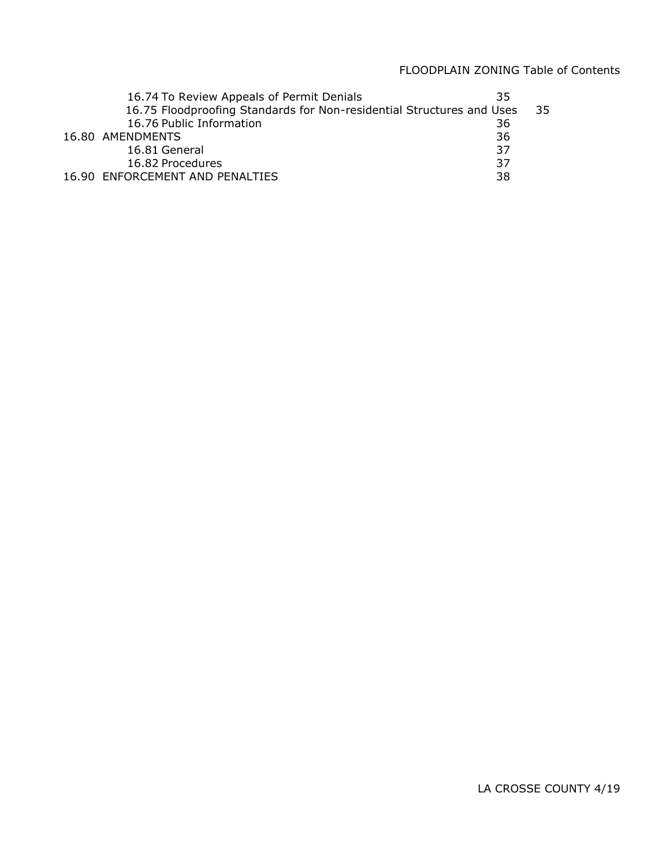| 16.74 To Review Appeals of Permit Denials                             | 35 |    |
|-----------------------------------------------------------------------|----|----|
| 16.75 Floodproofing Standards for Non-residential Structures and Uses |    | 35 |
| 16.76 Public Information                                              | 36 |    |
| 16.80 AMENDMENTS                                                      | 36 |    |
| 16.81 General                                                         | 37 |    |
| 16.82 Procedures                                                      | 37 |    |
| 16.90 ENFORCEMENT AND PENALTIES                                       | 38 |    |
|                                                                       |    |    |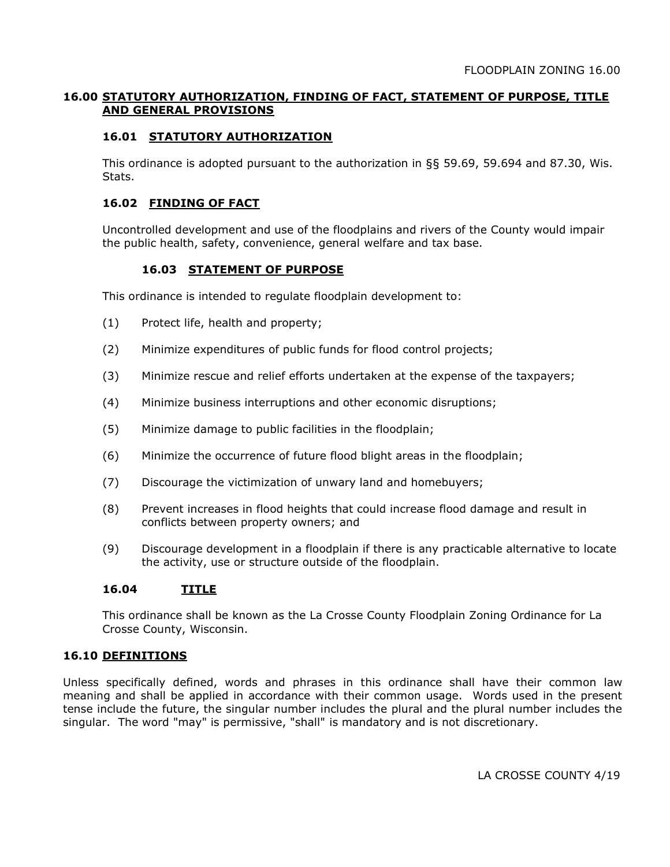# **16.00 STATUTORY AUTHORIZATION, FINDING OF FACT, STATEMENT OF PURPOSE, TITLE AND GENERAL PROVISIONS**

# **16.01 STATUTORY AUTHORIZATION**

This ordinance is adopted pursuant to the authorization in §§ 59.69, 59.694 and 87.30, Wis. Stats.

## **16.02 FINDING OF FACT**

Uncontrolled development and use of the floodplains and rivers of the County would impair the public health, safety, convenience, general welfare and tax base.

# **16.03 STATEMENT OF PURPOSE**

This ordinance is intended to regulate floodplain development to:

- (1) Protect life, health and property;
- (2) Minimize expenditures of public funds for flood control projects;
- (3) Minimize rescue and relief efforts undertaken at the expense of the taxpayers;
- (4) Minimize business interruptions and other economic disruptions;
- (5) Minimize damage to public facilities in the floodplain;
- (6) Minimize the occurrence of future flood blight areas in the floodplain;
- (7) Discourage the victimization of unwary land and homebuyers;
- (8) Prevent increases in flood heights that could increase flood damage and result in conflicts between property owners; and
- (9) Discourage development in a floodplain if there is any practicable alternative to locate the activity, use or structure outside of the floodplain.

### **16.04 TITLE**

This ordinance shall be known as the La Crosse County Floodplain Zoning Ordinance for La Crosse County, Wisconsin.

### **16.10 DEFINITIONS**

Unless specifically defined, words and phrases in this ordinance shall have their common law meaning and shall be applied in accordance with their common usage. Words used in the present tense include the future, the singular number includes the plural and the plural number includes the singular. The word "may" is permissive, "shall" is mandatory and is not discretionary.

LA CROSSE COUNTY 4/19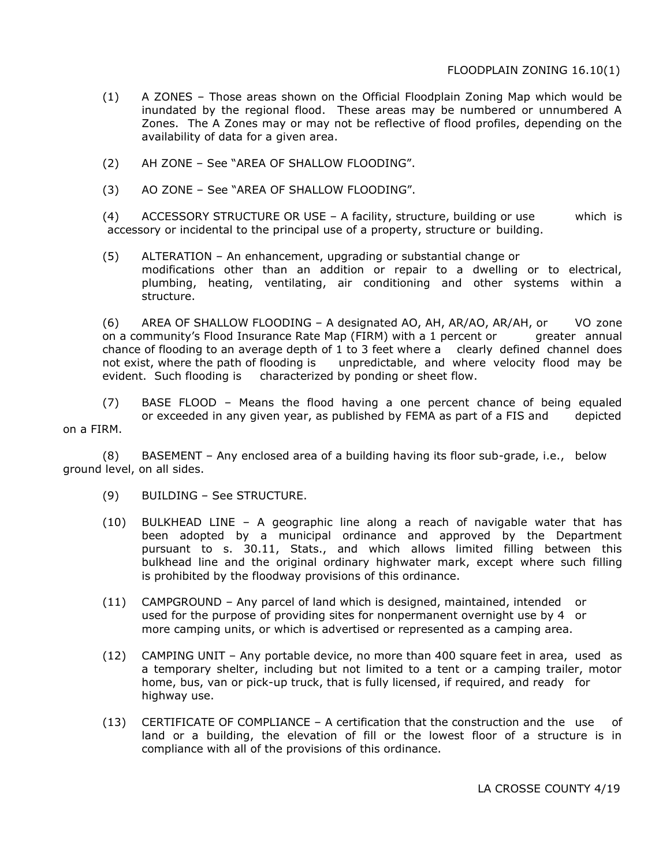- (1) A ZONES Those areas shown on the Official Floodplain Zoning Map which would be inundated by the regional flood. These areas may be numbered or unnumbered A Zones. The A Zones may or may not be reflective of flood profiles, depending on the availability of data for a given area.
- (2) AH ZONE See "AREA OF SHALLOW FLOODING".
- (3) AO ZONE See "AREA OF SHALLOW FLOODING".

(4) ACCESSORY STRUCTURE OR USE – A facility, structure, building or use which is accessory or incidental to the principal use of a property, structure or building.

(5) ALTERATION – An enhancement, upgrading or substantial change or modifications other than an addition or repair to a dwelling or to electrical, plumbing, heating, ventilating, air conditioning and other systems within a structure.

(6) AREA OF SHALLOW FLOODING – A designated AO, AH, AR/AO, AR/AH, or VO zone on a community's Flood Insurance Rate Map (FIRM) with a 1 percent or greater annual chance of flooding to an average depth of 1 to 3 feet where a clearly defined channel does not exist, where the path of flooding is unpredictable, and where velocity flood may be evident. Such flooding is characterized by ponding or sheet flow.

(7) BASE FLOOD – Means the flood having a one percent chance of being equaled or exceeded in any given year, as published by FEMA as part of a FIS and depicted

on a FIRM.

(8) BASEMENT – Any enclosed area of a building having its floor sub-grade, i.e., below ground level, on all sides.

- (9) BUILDING See STRUCTURE.
- (10) BULKHEAD LINE A geographic line along a reach of navigable water that has been adopted by a municipal ordinance and approved by the Department pursuant to s. 30.11, Stats., and which allows limited filling between this bulkhead line and the original ordinary highwater mark, except where such filling is prohibited by the floodway provisions of this ordinance.
- (11) CAMPGROUND Any parcel of land which is designed, maintained, intended or used for the purpose of providing sites for nonpermanent overnight use by 4 or more camping units, or which is advertised or represented as a camping area.
- (12) CAMPING UNIT Any portable device, no more than 400 square feet in area, used as a temporary shelter, including but not limited to a tent or a camping trailer, motor home, bus, van or pick-up truck, that is fully licensed, if required, and ready for highway use.
- (13) CERTIFICATE OF COMPLIANCE A certification that the construction and the use of land or a building, the elevation of fill or the lowest floor of a structure is in compliance with all of the provisions of this ordinance.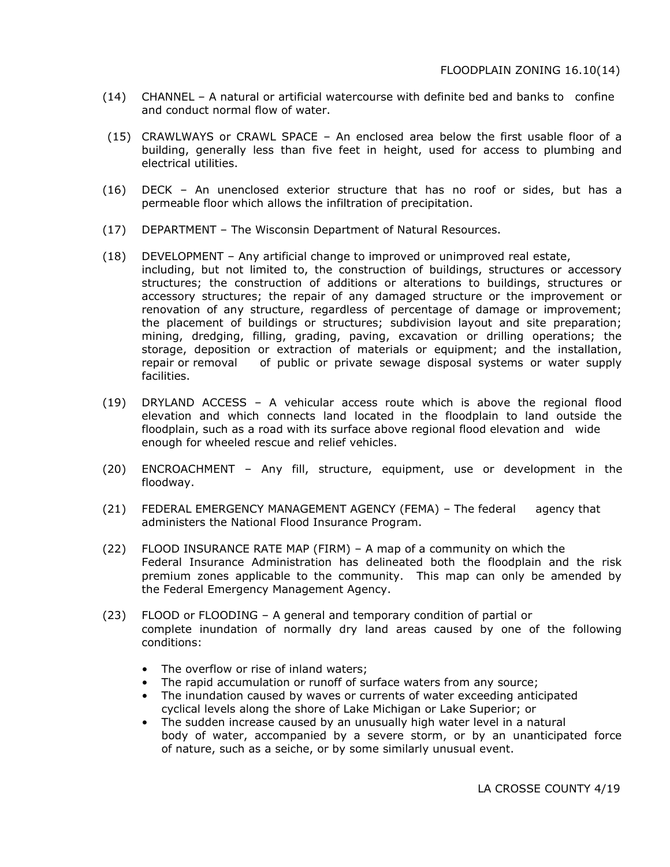- (14) CHANNEL A natural or artificial watercourse with definite bed and banks to confine and conduct normal flow of water.
- (15) CRAWLWAYS or CRAWL SPACE An enclosed area below the first usable floor of a building, generally less than five feet in height, used for access to plumbing and electrical utilities.
- (16) DECK An unenclosed exterior structure that has no roof or sides, but has a permeable floor which allows the infiltration of precipitation.
- (17) DEPARTMENT The Wisconsin Department of Natural Resources.
- (18) DEVELOPMENT Any artificial change to improved or unimproved real estate, including, but not limited to, the construction of buildings, structures or accessory structures; the construction of additions or alterations to buildings, structures or accessory structures; the repair of any damaged structure or the improvement or renovation of any structure, regardless of percentage of damage or improvement; the placement of buildings or structures; subdivision layout and site preparation; mining, dredging, filling, grading, paving, excavation or drilling operations; the storage, deposition or extraction of materials or equipment; and the installation, repair or removal of public or private sewage disposal systems or water supply facilities.
- (19) DRYLAND ACCESS A vehicular access route which is above the regional flood elevation and which connects land located in the floodplain to land outside the floodplain, such as a road with its surface above regional flood elevation and wide enough for wheeled rescue and relief vehicles.
- (20) ENCROACHMENT Any fill, structure, equipment, use or development in the floodway.
- (21) FEDERAL EMERGENCY MANAGEMENT AGENCY (FEMA) The federal agency that administers the National Flood Insurance Program.
- (22) FLOOD INSURANCE RATE MAP (FIRM) A map of a community on which the Federal Insurance Administration has delineated both the floodplain and the risk premium zones applicable to the community. This map can only be amended by the Federal Emergency Management Agency.
- (23) FLOOD or FLOODING A general and temporary condition of partial or complete inundation of normally dry land areas caused by one of the following conditions:
	- The overflow or rise of inland waters;
	- The rapid accumulation or runoff of surface waters from any source;
	- The inundation caused by waves or currents of water exceeding anticipated cyclical levels along the shore of Lake Michigan or Lake Superior; or
	- The sudden increase caused by an unusually high water level in a natural body of water, accompanied by a severe storm, or by an unanticipated force of nature, such as a seiche, or by some similarly unusual event.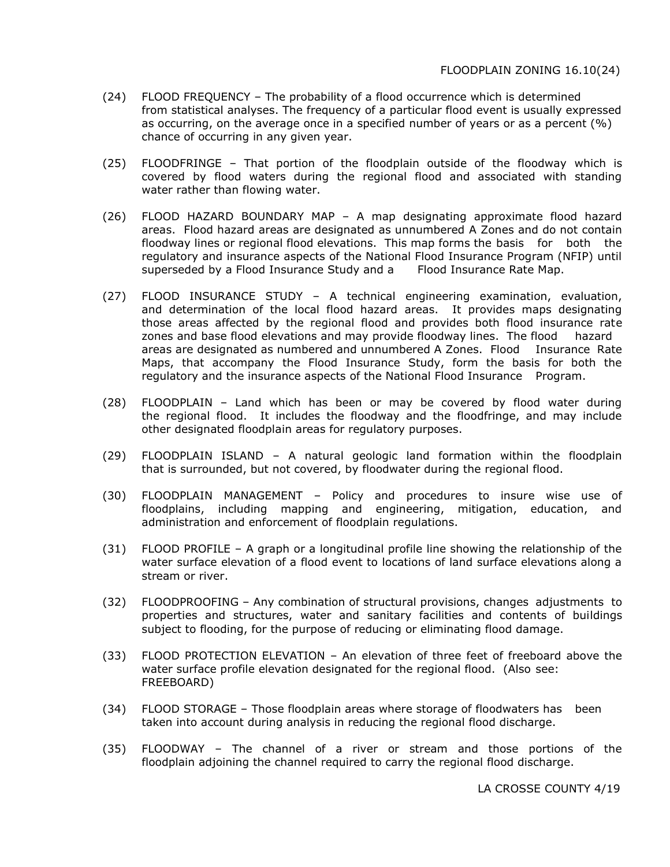- (24) FLOOD FREQUENCY The probability of a flood occurrence which is determined from statistical analyses. The frequency of a particular flood event is usually expressed as occurring, on the average once in a specified number of years or as a percent (%) chance of occurring in any given year.
- (25) FLOODFRINGE That portion of the floodplain outside of the floodway which is covered by flood waters during the regional flood and associated with standing water rather than flowing water.
- (26) FLOOD HAZARD BOUNDARY MAP A map designating approximate flood hazard areas. Flood hazard areas are designated as unnumbered A Zones and do not contain floodway lines or regional flood elevations. This map forms the basis for both the regulatory and insurance aspects of the National Flood Insurance Program (NFIP) until superseded by a Flood Insurance Study and a Flood Insurance Rate Map.
- (27) FLOOD INSURANCE STUDY A technical engineering examination, evaluation, and determination of the local flood hazard areas. It provides maps designating those areas affected by the regional flood and provides both flood insurance rate zones and base flood elevations and may provide floodway lines. The flood hazard areas are designated as numbered and unnumbered A Zones. Flood Insurance Rate Maps, that accompany the Flood Insurance Study, form the basis for both the regulatory and the insurance aspects of the National Flood Insurance Program.
- (28) FLOODPLAIN Land which has been or may be covered by flood water during the regional flood. It includes the floodway and the floodfringe, and may include other designated floodplain areas for regulatory purposes.
- (29) FLOODPLAIN ISLAND A natural geologic land formation within the floodplain that is surrounded, but not covered, by floodwater during the regional flood.
- (30) FLOODPLAIN MANAGEMENT Policy and procedures to insure wise use of floodplains, including mapping and engineering, mitigation, education, and administration and enforcement of floodplain regulations.
- (31) FLOOD PROFILE A graph or a longitudinal profile line showing the relationship of the water surface elevation of a flood event to locations of land surface elevations along a stream or river.
- (32) FLOODPROOFING Any combination of structural provisions, changes adjustments to properties and structures, water and sanitary facilities and contents of buildings subject to flooding, for the purpose of reducing or eliminating flood damage.
- (33) FLOOD PROTECTION ELEVATION An elevation of three feet of freeboard above the water surface profile elevation designated for the regional flood. (Also see: FREEBOARD)
- (34) FLOOD STORAGE Those floodplain areas where storage of floodwaters has been taken into account during analysis in reducing the regional flood discharge.
- (35) FLOODWAY The channel of a river or stream and those portions of the floodplain adjoining the channel required to carry the regional flood discharge.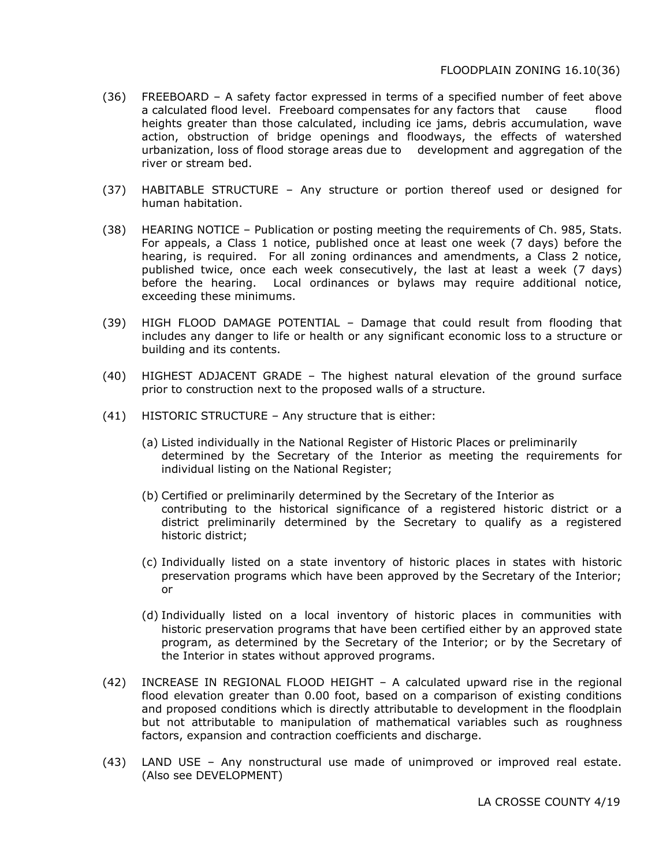- (36) FREEBOARD A safety factor expressed in terms of a specified number of feet above a calculated flood level. Freeboard compensates for any factors that cause flood heights greater than those calculated, including ice jams, debris accumulation, wave action, obstruction of bridge openings and floodways, the effects of watershed urbanization, loss of flood storage areas due to development and aggregation of the river or stream bed.
- (37) HABITABLE STRUCTURE Any structure or portion thereof used or designed for human habitation.
- (38) HEARING NOTICE Publication or posting meeting the requirements of Ch. 985, Stats. For appeals, a Class 1 notice, published once at least one week (7 days) before the hearing, is required. For all zoning ordinances and amendments, a Class 2 notice, published twice, once each week consecutively, the last at least a week (7 days) before the hearing. Local ordinances or bylaws may require additional notice, exceeding these minimums.
- (39) HIGH FLOOD DAMAGE POTENTIAL Damage that could result from flooding that includes any danger to life or health or any significant economic loss to a structure or building and its contents.
- (40) HIGHEST ADJACENT GRADE The highest natural elevation of the ground surface prior to construction next to the proposed walls of a structure.
- (41) HISTORIC STRUCTURE Any structure that is either:
	- (a) Listed individually in the National Register of Historic Places or preliminarily determined by the Secretary of the Interior as meeting the requirements for individual listing on the National Register;
	- (b) Certified or preliminarily determined by the Secretary of the Interior as contributing to the historical significance of a registered historic district or a district preliminarily determined by the Secretary to qualify as a registered historic district;
	- (c) Individually listed on a state inventory of historic places in states with historic preservation programs which have been approved by the Secretary of the Interior; or
	- (d) Individually listed on a local inventory of historic places in communities with historic preservation programs that have been certified either by an approved state program, as determined by the Secretary of the Interior; or by the Secretary of the Interior in states without approved programs.
- (42) INCREASE IN REGIONAL FLOOD HEIGHT A calculated upward rise in the regional flood elevation greater than 0.00 foot, based on a comparison of existing conditions and proposed conditions which is directly attributable to development in the floodplain but not attributable to manipulation of mathematical variables such as roughness factors, expansion and contraction coefficients and discharge.
- (43) LAND USE Any nonstructural use made of unimproved or improved real estate. (Also see DEVELOPMENT)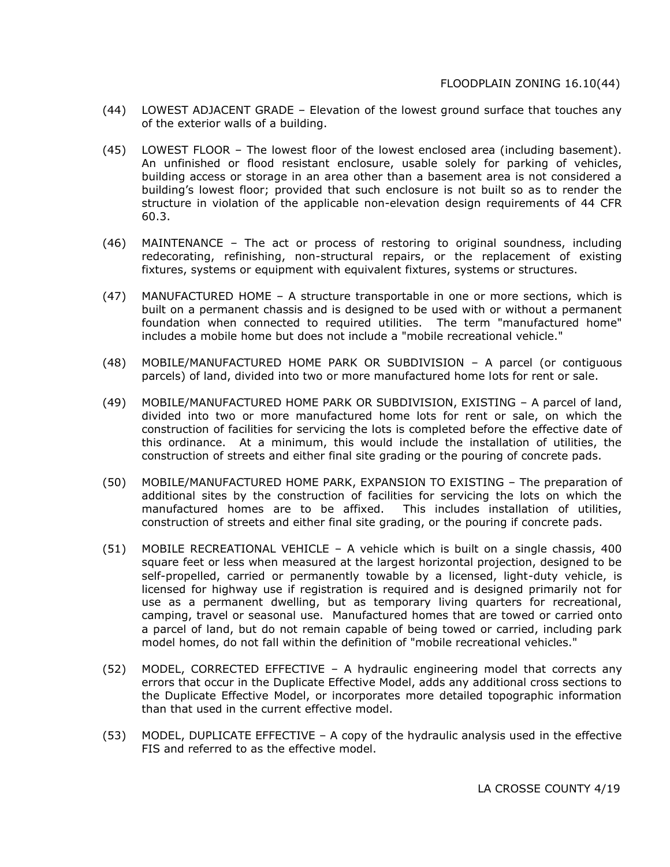- (44) LOWEST ADJACENT GRADE Elevation of the lowest ground surface that touches any of the exterior walls of a building.
- (45) LOWEST FLOOR The lowest floor of the lowest enclosed area (including basement). An unfinished or flood resistant enclosure, usable solely for parking of vehicles, building access or storage in an area other than a basement area is not considered a building's lowest floor; provided that such enclosure is not built so as to render the structure in violation of the applicable non-elevation design requirements of 44 CFR 60.3.
- (46) MAINTENANCE The act or process of restoring to original soundness, including redecorating, refinishing, non-structural repairs, or the replacement of existing fixtures, systems or equipment with equivalent fixtures, systems or structures.
- (47) MANUFACTURED HOME A structure transportable in one or more sections, which is built on a permanent chassis and is designed to be used with or without a permanent foundation when connected to required utilities. The term "manufactured home" includes a mobile home but does not include a "mobile recreational vehicle."
- (48) MOBILE/MANUFACTURED HOME PARK OR SUBDIVISION A parcel (or contiguous parcels) of land, divided into two or more manufactured home lots for rent or sale.
- (49) MOBILE/MANUFACTURED HOME PARK OR SUBDIVISION, EXISTING A parcel of land, divided into two or more manufactured home lots for rent or sale, on which the construction of facilities for servicing the lots is completed before the effective date of this ordinance. At a minimum, this would include the installation of utilities, the construction of streets and either final site grading or the pouring of concrete pads.
- (50) MOBILE/MANUFACTURED HOME PARK, EXPANSION TO EXISTING The preparation of additional sites by the construction of facilities for servicing the lots on which the manufactured homes are to be affixed. This includes installation of utilities, construction of streets and either final site grading, or the pouring if concrete pads.
- (51) MOBILE RECREATIONAL VEHICLE A vehicle which is built on a single chassis, 400 square feet or less when measured at the largest horizontal projection, designed to be self-propelled, carried or permanently towable by a licensed, light-duty vehicle, is licensed for highway use if registration is required and is designed primarily not for use as a permanent dwelling, but as temporary living quarters for recreational, camping, travel or seasonal use. Manufactured homes that are towed or carried onto a parcel of land, but do not remain capable of being towed or carried, including park model homes, do not fall within the definition of "mobile recreational vehicles."
- (52) MODEL, CORRECTED EFFECTIVE A hydraulic engineering model that corrects any errors that occur in the Duplicate Effective Model, adds any additional cross sections to the Duplicate Effective Model, or incorporates more detailed topographic information than that used in the current effective model.
- (53) MODEL, DUPLICATE EFFECTIVE A copy of the hydraulic analysis used in the effective FIS and referred to as the effective model.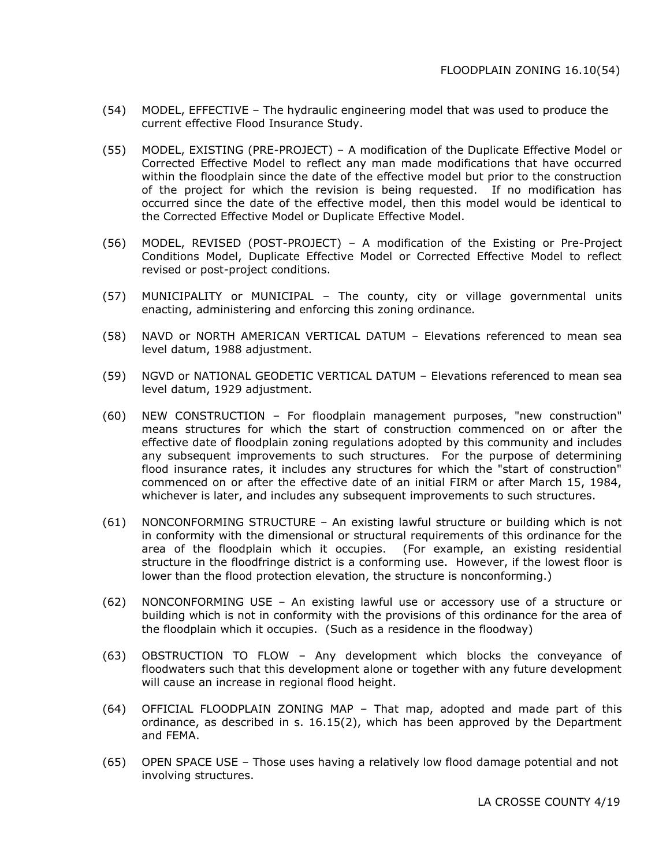- (54) MODEL, EFFECTIVE The hydraulic engineering model that was used to produce the current effective Flood Insurance Study.
- (55) MODEL, EXISTING (PRE-PROJECT) A modification of the Duplicate Effective Model or Corrected Effective Model to reflect any man made modifications that have occurred within the floodplain since the date of the effective model but prior to the construction of the project for which the revision is being requested. If no modification has occurred since the date of the effective model, then this model would be identical to the Corrected Effective Model or Duplicate Effective Model.
- (56) MODEL, REVISED (POST-PROJECT) A modification of the Existing or Pre-Project Conditions Model, Duplicate Effective Model or Corrected Effective Model to reflect revised or post-project conditions.
- (57) MUNICIPALITY or MUNICIPAL The county, city or village governmental units enacting, administering and enforcing this zoning ordinance.
- (58) NAVD or NORTH AMERICAN VERTICAL DATUM Elevations referenced to mean sea level datum, 1988 adjustment.
- (59) NGVD or NATIONAL GEODETIC VERTICAL DATUM Elevations referenced to mean sea level datum, 1929 adjustment.
- (60) NEW CONSTRUCTION For floodplain management purposes, "new construction" means structures for which the start of construction commenced on or after the effective date of floodplain zoning regulations adopted by this community and includes any subsequent improvements to such structures. For the purpose of determining flood insurance rates, it includes any structures for which the "start of construction" commenced on or after the effective date of an initial FIRM or after March 15, 1984, whichever is later, and includes any subsequent improvements to such structures.
- (61) NONCONFORMING STRUCTURE An existing lawful structure or building which is not in conformity with the dimensional or structural requirements of this ordinance for the area of the floodplain which it occupies. (For example, an existing residential structure in the floodfringe district is a conforming use. However, if the lowest floor is lower than the flood protection elevation, the structure is nonconforming.)
- (62) NONCONFORMING USE An existing lawful use or accessory use of a structure or building which is not in conformity with the provisions of this ordinance for the area of the floodplain which it occupies. (Such as a residence in the floodway)
- (63) OBSTRUCTION TO FLOW Any development which blocks the conveyance of floodwaters such that this development alone or together with any future development will cause an increase in regional flood height.
- (64) OFFICIAL FLOODPLAIN ZONING MAP That map, adopted and made part of this ordinance, as described in s. 16.15(2), which has been approved by the Department and FEMA.
- (65) OPEN SPACE USE Those uses having a relatively low flood damage potential and not involving structures.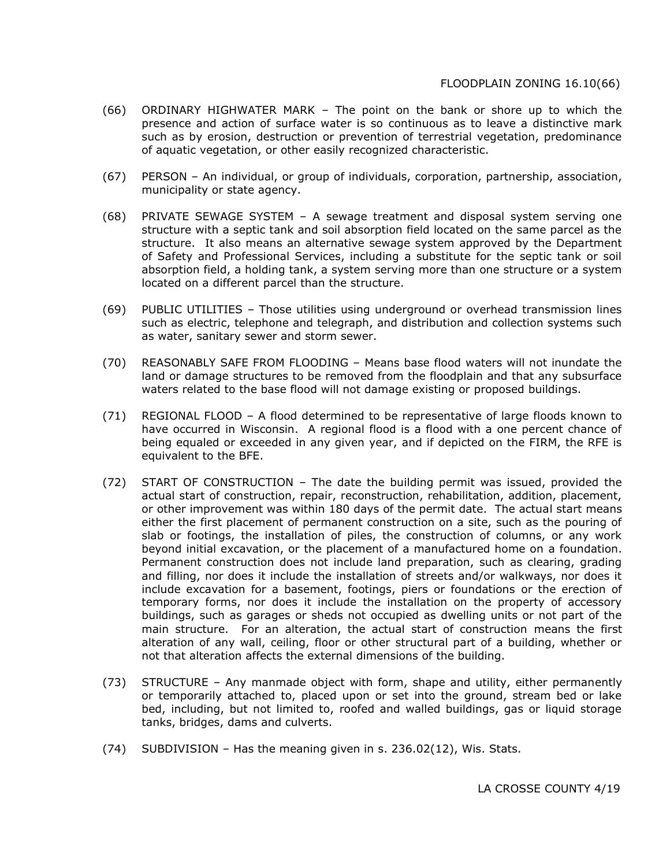- (66) ORDINARY HIGHWATER MARK The point on the bank or shore up to which the presence and action of surface water is so continuous as to leave a distinctive mark such as by erosion, destruction or prevention of terrestrial vegetation, predominance of aquatic vegetation, or other easily recognized characteristic.
- (67) PERSON An individual, or group of individuals, corporation, partnership, association, municipality or state agency.
- (68) PRIVATE SEWAGE SYSTEM A sewage treatment and disposal system serving one structure with a septic tank and soil absorption field located on the same parcel as the structure. It also means an alternative sewage system approved by the Department of Safety and Professional Services, including a substitute for the septic tank or soil absorption field, a holding tank, a system serving more than one structure or a system located on a different parcel than the structure.
- (69) PUBLIC UTILITIES Those utilities using underground or overhead transmission lines such as electric, telephone and telegraph, and distribution and collection systems such as water, sanitary sewer and storm sewer.
- (70) REASONABLY SAFE FROM FLOODING Means base flood waters will not inundate the land or damage structures to be removed from the floodplain and that any subsurface waters related to the base flood will not damage existing or proposed buildings.
- (71) REGIONAL FLOOD A flood determined to be representative of large floods known to have occurred in Wisconsin. A regional flood is a flood with a one percent chance of being equaled or exceeded in any given year, and if depicted on the FIRM, the RFE is equivalent to the BFE.
- (72) START OF CONSTRUCTION The date the building permit was issued, provided the actual start of construction, repair, reconstruction, rehabilitation, addition, placement, or other improvement was within 180 days of the permit date. The actual start means either the first placement of permanent construction on a site, such as the pouring of slab or footings, the installation of piles, the construction of columns, or any work beyond initial excavation, or the placement of a manufactured home on a foundation. Permanent construction does not include land preparation, such as clearing, grading and filling, nor does it include the installation of streets and/or walkways, nor does it include excavation for a basement, footings, piers or foundations or the erection of temporary forms, nor does it include the installation on the property of accessory buildings, such as garages or sheds not occupied as dwelling units or not part of the main structure. For an alteration, the actual start of construction means the first alteration of any wall, ceiling, floor or other structural part of a building, whether or not that alteration affects the external dimensions of the building.
- (73) STRUCTURE Any manmade object with form, shape and utility, either permanently or temporarily attached to, placed upon or set into the ground, stream bed or lake bed, including, but not limited to, roofed and walled buildings, gas or liquid storage tanks, bridges, dams and culverts.
- (74) SUBDIVISION Has the meaning given in s. 236.02(12), Wis. Stats.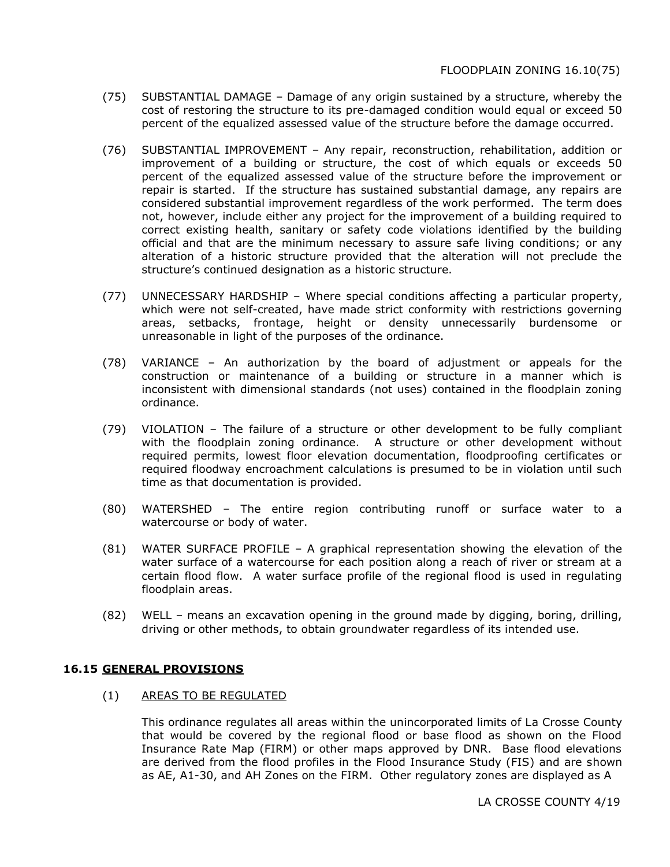- (75) SUBSTANTIAL DAMAGE Damage of any origin sustained by a structure, whereby the cost of restoring the structure to its pre-damaged condition would equal or exceed 50 percent of the equalized assessed value of the structure before the damage occurred.
- (76) SUBSTANTIAL IMPROVEMENT Any repair, reconstruction, rehabilitation, addition or improvement of a building or structure, the cost of which equals or exceeds 50 percent of the equalized assessed value of the structure before the improvement or repair is started. If the structure has sustained substantial damage, any repairs are considered substantial improvement regardless of the work performed. The term does not, however, include either any project for the improvement of a building required to correct existing health, sanitary or safety code violations identified by the building official and that are the minimum necessary to assure safe living conditions; or any alteration of a historic structure provided that the alteration will not preclude the structure's continued designation as a historic structure.
- (77) UNNECESSARY HARDSHIP Where special conditions affecting a particular property, which were not self-created, have made strict conformity with restrictions governing areas, setbacks, frontage, height or density unnecessarily burdensome or unreasonable in light of the purposes of the ordinance.
- (78) VARIANCE An authorization by the board of adjustment or appeals for the construction or maintenance of a building or structure in a manner which is inconsistent with dimensional standards (not uses) contained in the floodplain zoning ordinance.
- (79) VIOLATION The failure of a structure or other development to be fully compliant with the floodplain zoning ordinance. A structure or other development without required permits, lowest floor elevation documentation, floodproofing certificates or required floodway encroachment calculations is presumed to be in violation until such time as that documentation is provided.
- (80) WATERSHED The entire region contributing runoff or surface water to a watercourse or body of water.
- (81) WATER SURFACE PROFILE A graphical representation showing the elevation of the water surface of a watercourse for each position along a reach of river or stream at a certain flood flow. A water surface profile of the regional flood is used in regulating floodplain areas.
- (82) WELL means an excavation opening in the ground made by digging, boring, drilling, driving or other methods, to obtain groundwater regardless of its intended use.

### **16.15 GENERAL PROVISIONS**

#### (1) AREAS TO BE REGULATED

This ordinance regulates all areas within the unincorporated limits of La Crosse County that would be covered by the regional flood or base flood as shown on the Flood Insurance Rate Map (FIRM) or other maps approved by DNR. Base flood elevations are derived from the flood profiles in the Flood Insurance Study (FIS) and are shown as AE, A1-30, and AH Zones on the FIRM. Other regulatory zones are displayed as A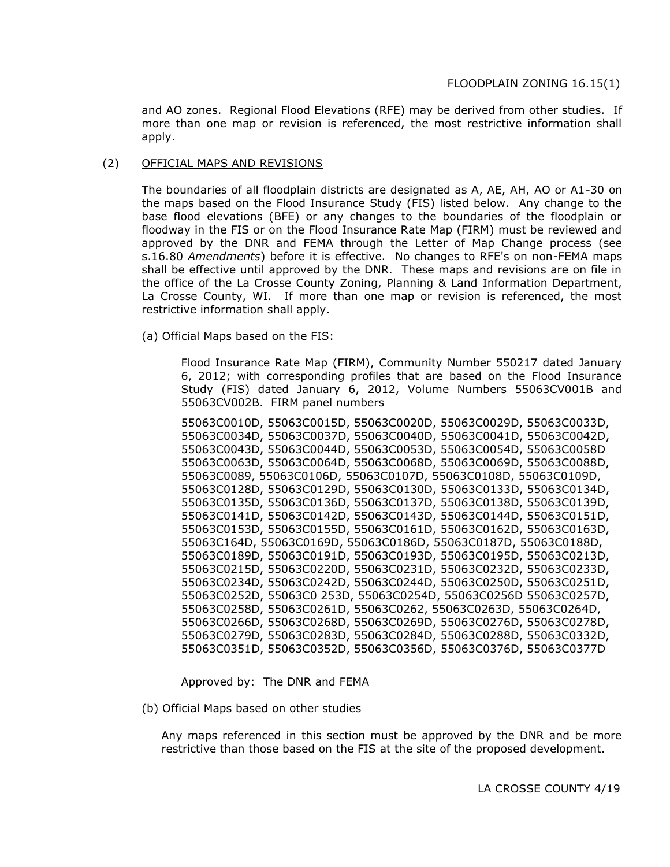and AO zones. Regional Flood Elevations (RFE) may be derived from other studies. If more than one map or revision is referenced, the most restrictive information shall apply.

#### (2) OFFICIAL MAPS AND REVISIONS

The boundaries of all floodplain districts are designated as A, AE, AH, AO or A1-30 on the maps based on the Flood Insurance Study (FIS) listed below. Any change to the base flood elevations (BFE) or any changes to the boundaries of the floodplain or floodway in the FIS or on the Flood Insurance Rate Map (FIRM) must be reviewed and approved by the DNR and FEMA through the Letter of Map Change process (see s.16.80 *Amendments*) before it is effective. No changes to RFE's on non-FEMA maps shall be effective until approved by the DNR. These maps and revisions are on file in the office of the La Crosse County Zoning, Planning & Land Information Department, La Crosse County, WI. If more than one map or revision is referenced, the most restrictive information shall apply.

(a) Official Maps based on the FIS:

Flood Insurance Rate Map (FIRM), Community Number 550217 dated January 6, 2012; with corresponding profiles that are based on the Flood Insurance Study (FIS) dated January 6, 2012, Volume Numbers 55063CV001B and 55063CV002B. FIRM panel numbers

55063C0010D, 55063C0015D, 55063C0020D, 55063C0029D, 55063C0033D, 55063C0034D, 55063C0037D, 55063C0040D, 55063C0041D, 55063C0042D, 55063C0043D, 55063C0044D, 55063C0053D, 55063C0054D, 55063C0058D 55063C0063D, 55063C0064D, 55063C0068D, 55063C0069D, 55063C0088D, 55063C0089, 55063C0106D, 55063C0107D, 55063C0108D, 55063C0109D, 55063C0128D, 55063C0129D, 55063C0130D, 55063C0133D, 55063C0134D, 55063C0135D, 55063C0136D, 55063C0137D, 55063C0138D, 55063C0139D, 55063C0141D, 55063C0142D, 55063C0143D, 55063C0144D, 55063C0151D, 55063C0153D, 55063C0155D, 55063C0161D, 55063C0162D, 55063C0163D, 55063C164D, 55063C0169D, 55063C0186D, 55063C0187D, 55063C0188D, 55063C0189D, 55063C0191D, 55063C0193D, 55063C0195D, 55063C0213D, 55063C0215D, 55063C0220D, 55063C0231D, 55063C0232D, 55063C0233D, 55063C0234D, 55063C0242D, 55063C0244D, 55063C0250D, 55063C0251D, 55063C0252D, 55063C0 253D, 55063C0254D, 55063C0256D 55063C0257D, 55063C0258D, 55063C0261D, 55063C0262, 55063C0263D, 55063C0264D, 55063C0266D, 55063C0268D, 55063C0269D, 55063C0276D, 55063C0278D, 55063C0279D, 55063C0283D, 55063C0284D, 55063C0288D, 55063C0332D, 55063C0351D, 55063C0352D, 55063C0356D, 55063C0376D, 55063C0377D

Approved by: The DNR and FEMA

(b) Official Maps based on other studies

Any maps referenced in this section must be approved by the DNR and be more restrictive than those based on the FIS at the site of the proposed development.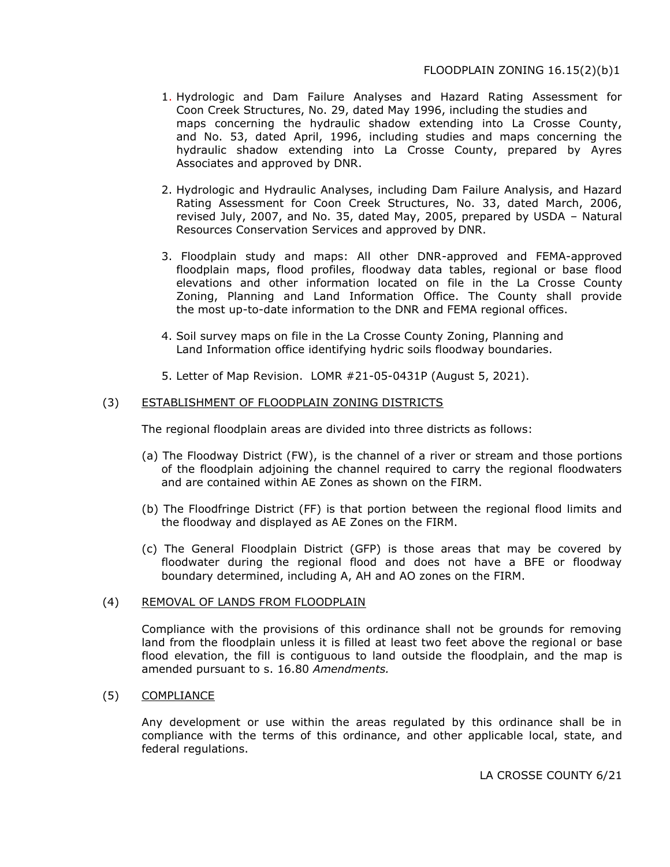- 1. Hydrologic and Dam Failure Analyses and Hazard Rating Assessment for Coon Creek Structures, No. 29, dated May 1996, including the studies and maps concerning the hydraulic shadow extending into La Crosse County, and No. 53, dated April, 1996, including studies and maps concerning the hydraulic shadow extending into La Crosse County, prepared by Ayres Associates and approved by DNR.
- 2. Hydrologic and Hydraulic Analyses, including Dam Failure Analysis, and Hazard Rating Assessment for Coon Creek Structures, No. 33, dated March, 2006, revised July, 2007, and No. 35, dated May, 2005, prepared by USDA – Natural Resources Conservation Services and approved by DNR.
- 3. Floodplain study and maps: All other DNR-approved and FEMA-approved floodplain maps, flood profiles, floodway data tables, regional or base flood elevations and other information located on file in the La Crosse County Zoning, Planning and Land Information Office. The County shall provide the most up-to-date information to the DNR and FEMA regional offices.
- 4. Soil survey maps on file in the La Crosse County Zoning, Planning and Land Information office identifying hydric soils floodway boundaries.
- 5. Letter of Map Revision. LOMR #21-05-0431P (August 5, 2021).

### (3) ESTABLISHMENT OF FLOODPLAIN ZONING DISTRICTS

The regional floodplain areas are divided into three districts as follows:

- (a) The Floodway District (FW), is the channel of a river or stream and those portions of the floodplain adjoining the channel required to carry the regional floodwaters and are contained within AE Zones as shown on the FIRM.
- (b) The Floodfringe District (FF) is that portion between the regional flood limits and the floodway and displayed as AE Zones on the FIRM.
- (c) The General Floodplain District (GFP) is those areas that may be covered by floodwater during the regional flood and does not have a BFE or floodway boundary determined, including A, AH and AO zones on the FIRM.

#### (4) REMOVAL OF LANDS FROM FLOODPLAIN

Compliance with the provisions of this ordinance shall not be grounds for removing land from the floodplain unless it is filled at least two feet above the regional or base flood elevation, the fill is contiguous to land outside the floodplain, and the map is amended pursuant to s. 16.80 *Amendments.*

#### (5) COMPLIANCE

Any development or use within the areas regulated by this ordinance shall be in compliance with the terms of this ordinance, and other applicable local, state, and federal regulations.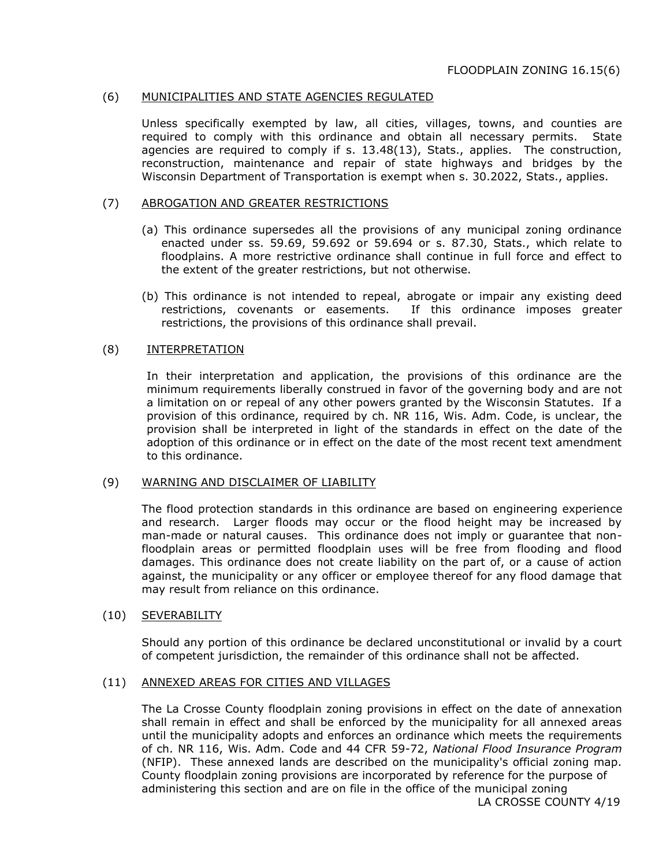### (6) MUNICIPALITIES AND STATE AGENCIES REGULATED

Unless specifically exempted by law, all cities, villages, towns, and counties are required to comply with this ordinance and obtain all necessary permits. State agencies are required to comply if s. 13.48(13), Stats., applies. The construction, reconstruction, maintenance and repair of state highways and bridges by the Wisconsin Department of Transportation is exempt when s. 30.2022, Stats., applies.

#### (7) ABROGATION AND GREATER RESTRICTIONS

- (a) This ordinance supersedes all the provisions of any municipal zoning ordinance enacted under ss. 59.69, 59.692 or 59.694 or s. 87.30, Stats., which relate to floodplains. A more restrictive ordinance shall continue in full force and effect to the extent of the greater restrictions, but not otherwise.
- (b) This ordinance is not intended to repeal, abrogate or impair any existing deed restrictions, covenants or easements. If this ordinance imposes greater restrictions, the provisions of this ordinance shall prevail.

#### (8) INTERPRETATION

In their interpretation and application, the provisions of this ordinance are the minimum requirements liberally construed in favor of the governing body and are not a limitation on or repeal of any other powers granted by the Wisconsin Statutes. If a provision of this ordinance, required by ch. NR 116, Wis. Adm. Code, is unclear, the provision shall be interpreted in light of the standards in effect on the date of the adoption of this ordinance or in effect on the date of the most recent text amendment to this ordinance.

#### (9) WARNING AND DISCLAIMER OF LIABILITY

The flood protection standards in this ordinance are based on engineering experience and research. Larger floods may occur or the flood height may be increased by man-made or natural causes. This ordinance does not imply or guarantee that nonfloodplain areas or permitted floodplain uses will be free from flooding and flood damages. This ordinance does not create liability on the part of, or a cause of action against, the municipality or any officer or employee thereof for any flood damage that may result from reliance on this ordinance.

#### (10) SEVERABILITY

Should any portion of this ordinance be declared unconstitutional or invalid by a court of competent jurisdiction, the remainder of this ordinance shall not be affected.

### (11) ANNEXED AREAS FOR CITIES AND VILLAGES

The La Crosse County floodplain zoning provisions in effect on the date of annexation shall remain in effect and shall be enforced by the municipality for all annexed areas until the municipality adopts and enforces an ordinance which meets the requirements of ch. NR 116, Wis. Adm. Code and 44 CFR 59-72, *National Flood Insurance Program*  (NFIP). These annexed lands are described on the municipality's official zoning map. County floodplain zoning provisions are incorporated by reference for the purpose of administering this section and are on file in the office of the municipal zoning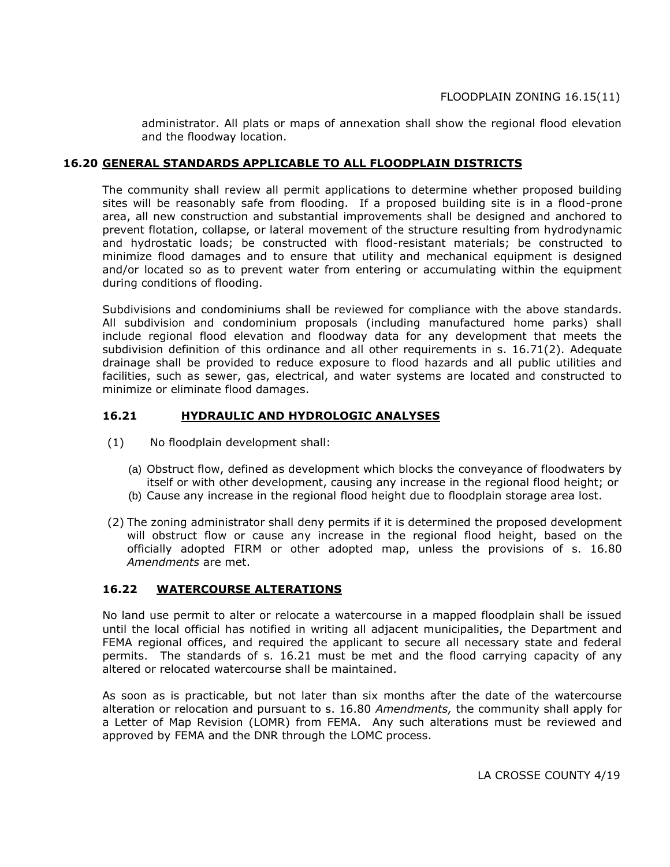administrator. All plats or maps of annexation shall show the regional flood elevation and the floodway location.

# **16.20 GENERAL STANDARDS APPLICABLE TO ALL FLOODPLAIN DISTRICTS**

The community shall review all permit applications to determine whether proposed building sites will be reasonably safe from flooding. If a proposed building site is in a flood-prone area, all new construction and substantial improvements shall be designed and anchored to prevent flotation, collapse, or lateral movement of the structure resulting from hydrodynamic and hydrostatic loads; be constructed with flood-resistant materials; be constructed to minimize flood damages and to ensure that utility and mechanical equipment is designed and/or located so as to prevent water from entering or accumulating within the equipment during conditions of flooding.

Subdivisions and condominiums shall be reviewed for compliance with the above standards. All subdivision and condominium proposals (including manufactured home parks) shall include regional flood elevation and floodway data for any development that meets the subdivision definition of this ordinance and all other requirements in s. 16.71(2). Adequate drainage shall be provided to reduce exposure to flood hazards and all public utilities and facilities, such as sewer, gas, electrical, and water systems are located and constructed to minimize or eliminate flood damages.

# **16.21 HYDRAULIC AND HYDROLOGIC ANALYSES**

- (1) No floodplain development shall:
	- (a) Obstruct flow, defined as development which blocks the conveyance of floodwaters by itself or with other development, causing any increase in the regional flood height; or
	- (b) Cause any increase in the regional flood height due to floodplain storage area lost.
- (2) The zoning administrator shall deny permits if it is determined the proposed development will obstruct flow or cause any increase in the regional flood height, based on the officially adopted FIRM or other adopted map, unless the provisions of s. 16.80 *Amendments* are met.

### **16.22 WATERCOURSE ALTERATIONS**

No land use permit to alter or relocate a watercourse in a mapped floodplain shall be issued until the local official has notified in writing all adjacent municipalities, the Department and FEMA regional offices, and required the applicant to secure all necessary state and federal permits. The standards of s. 16.21 must be met and the flood carrying capacity of any altered or relocated watercourse shall be maintained.

As soon as is practicable, but not later than six months after the date of the watercourse alteration or relocation and pursuant to s. 16.80 *Amendments,* the community shall apply for a Letter of Map Revision (LOMR) from FEMA. Any such alterations must be reviewed and approved by FEMA and the DNR through the LOMC process.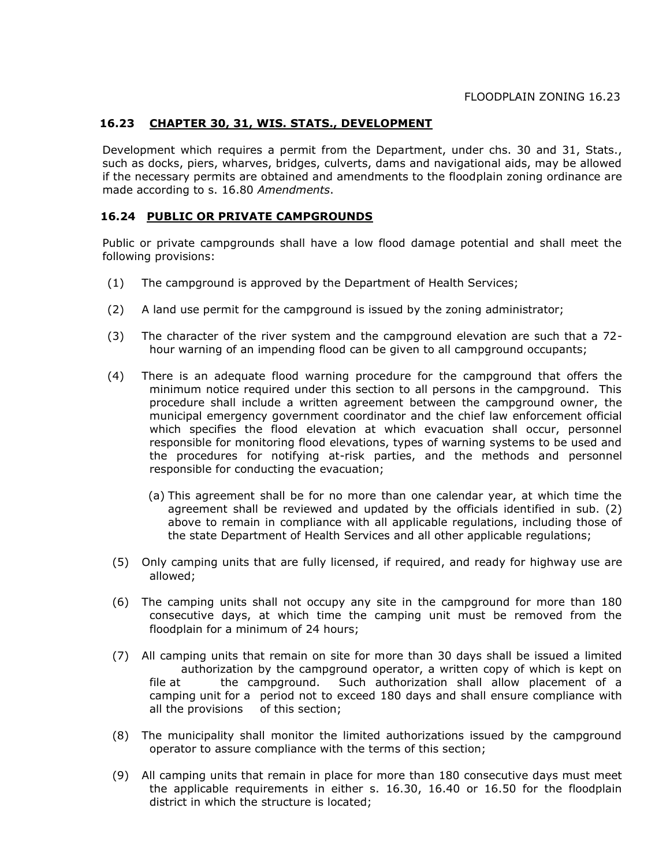# **16.23 CHAPTER 30, 31, WIS. STATS., DEVELOPMENT**

Development which requires a permit from the Department, under chs. 30 and 31, Stats., such as docks, piers, wharves, bridges, culverts, dams and navigational aids, may be allowed if the necessary permits are obtained and amendments to the floodplain zoning ordinance are made according to s. 16.80 *Amendments*.

### **16.24 PUBLIC OR PRIVATE CAMPGROUNDS**

Public or private campgrounds shall have a low flood damage potential and shall meet the following provisions:

- (1) The campground is approved by the Department of Health Services;
- (2) A land use permit for the campground is issued by the zoning administrator;
- (3) The character of the river system and the campground elevation are such that a 72 hour warning of an impending flood can be given to all campground occupants;
- (4) There is an adequate flood warning procedure for the campground that offers the minimum notice required under this section to all persons in the campground. This procedure shall include a written agreement between the campground owner, the municipal emergency government coordinator and the chief law enforcement official which specifies the flood elevation at which evacuation shall occur, personnel responsible for monitoring flood elevations, types of warning systems to be used and the procedures for notifying at-risk parties, and the methods and personnel responsible for conducting the evacuation;
	- (a) This agreement shall be for no more than one calendar year, at which time the agreement shall be reviewed and updated by the officials identified in sub. (2) above to remain in compliance with all applicable regulations, including those of the state Department of Health Services and all other applicable regulations;
- (5) Only camping units that are fully licensed, if required, and ready for highway use are allowed;
- (6) The camping units shall not occupy any site in the campground for more than 180 consecutive days, at which time the camping unit must be removed from the floodplain for a minimum of 24 hours;
- (7) All camping units that remain on site for more than 30 days shall be issued a limited authorization by the campground operator, a written copy of which is kept on file at the campground. Such authorization shall allow placement of a camping unit for a period not to exceed 180 days and shall ensure compliance with all the provisions of this section;
- (8) The municipality shall monitor the limited authorizations issued by the campground operator to assure compliance with the terms of this section;
- (9) All camping units that remain in place for more than 180 consecutive days must meet the applicable requirements in either s. 16.30, 16.40 or 16.50 for the floodplain district in which the structure is located;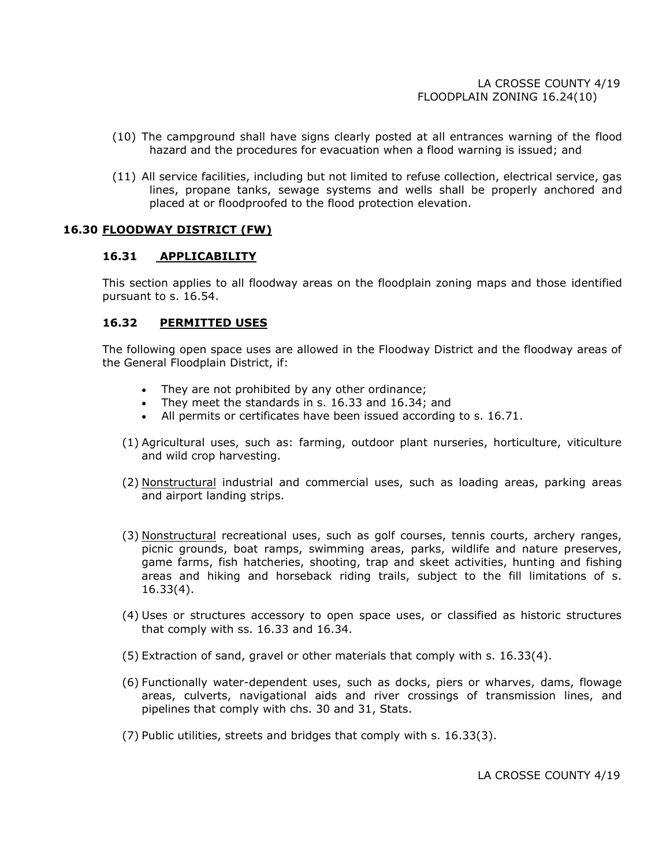- (10) The campground shall have signs clearly posted at all entrances warning of the flood hazard and the procedures for evacuation when a flood warning is issued; and
- (11) All service facilities, including but not limited to refuse collection, electrical service, gas lines, propane tanks, sewage systems and wells shall be properly anchored and placed at or floodproofed to the flood protection elevation.

#### **16.30 FLOODWAY DISTRICT (FW)**

#### **16.31 APPLICABILITY**

This section applies to all floodway areas on the floodplain zoning maps and those identified pursuant to s. 16.54.

### **16.32 PERMITTED USES**

The following open space uses are allowed in the Floodway District and the floodway areas of the General Floodplain District, if:

- They are not prohibited by any other ordinance;
- They meet the standards in s. 16.33 and 16.34; and
- All permits or certificates have been issued according to s. 16.71.
- (1) Agricultural uses, such as: farming, outdoor plant nurseries, horticulture, viticulture and wild crop harvesting.
- (2) Nonstructural industrial and commercial uses, such as loading areas, parking areas and airport landing strips.
- (3) Nonstructural recreational uses, such as golf courses, tennis courts, archery ranges, picnic grounds, boat ramps, swimming areas, parks, wildlife and nature preserves, game farms, fish hatcheries, shooting, trap and skeet activities, hunting and fishing areas and hiking and horseback riding trails, subject to the fill limitations of s. 16.33(4).
- (4) Uses or structures accessory to open space uses, or classified as historic structures that comply with ss. 16.33 and 16.34.
- (5) Extraction of sand, gravel or other materials that comply with s. 16.33(4).
- (6) Functionally water-dependent uses, such as docks, piers or wharves, dams, flowage areas, culverts, navigational aids and river crossings of transmission lines, and pipelines that comply with chs. 30 and 31, Stats.
- (7) Public utilities, streets and bridges that comply with s. 16.33(3).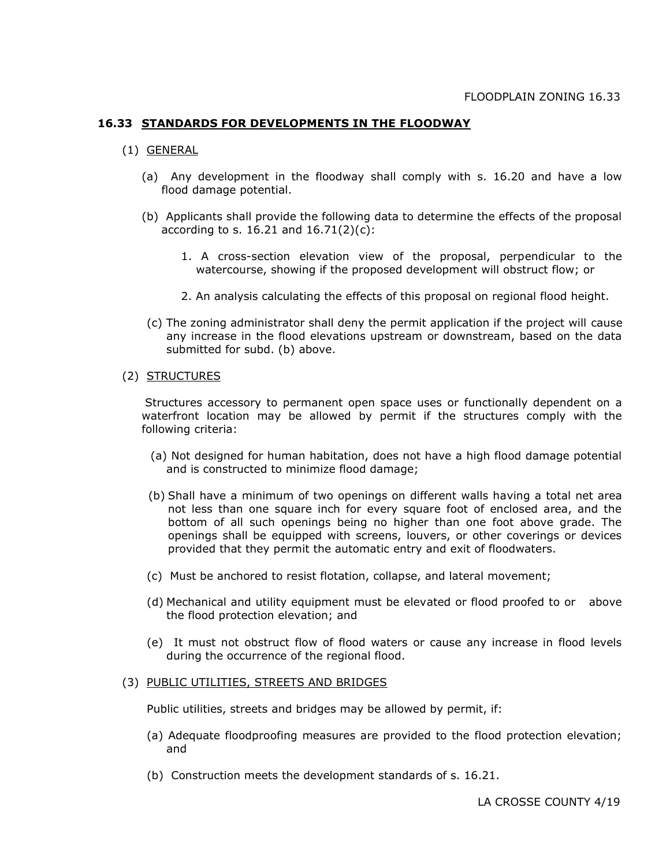# **16.33 STANDARDS FOR DEVELOPMENTS IN THE FLOODWAY**

- (1) GENERAL
	- (a) Any development in the floodway shall comply with s. 16.20 and have a low flood damage potential.
	- (b) Applicants shall provide the following data to determine the effects of the proposal according to s. 16.21 and  $16.71(2)(c)$ :
		- 1. A cross-section elevation view of the proposal, perpendicular to the watercourse, showing if the proposed development will obstruct flow; or
		- 2. An analysis calculating the effects of this proposal on regional flood height.
	- (c) The zoning administrator shall deny the permit application if the project will cause any increase in the flood elevations upstream or downstream, based on the data submitted for subd. (b) above.

#### (2) STRUCTURES

 Structures accessory to permanent open space uses or functionally dependent on a waterfront location may be allowed by permit if the structures comply with the following criteria:

- (a) Not designed for human habitation, does not have a high flood damage potential and is constructed to minimize flood damage;
- (b) Shall have a minimum of two openings on different walls having a total net area not less than one square inch for every square foot of enclosed area, and the bottom of all such openings being no higher than one foot above grade. The openings shall be equipped with screens, louvers, or other coverings or devices provided that they permit the automatic entry and exit of floodwaters.
- (c) Must be anchored to resist flotation, collapse, and lateral movement;
- (d) Mechanical and utility equipment must be elevated or flood proofed to or above the flood protection elevation; and
- (e) It must not obstruct flow of flood waters or cause any increase in flood levels during the occurrence of the regional flood.

#### (3) PUBLIC UTILITIES, STREETS AND BRIDGES

Public utilities, streets and bridges may be allowed by permit, if:

- (a) Adequate floodproofing measures are provided to the flood protection elevation; and
- (b) Construction meets the development standards of s. 16.21.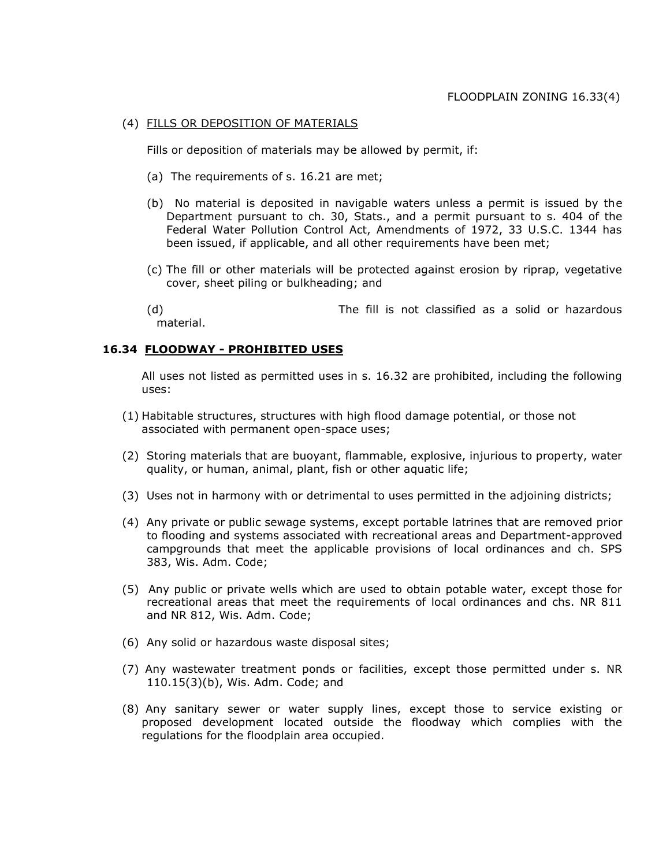### (4) FILLS OR DEPOSITION OF MATERIALS

Fills or deposition of materials may be allowed by permit, if:

- (a) The requirements of s. 16.21 are met;
- (b) No material is deposited in navigable waters unless a permit is issued by the Department pursuant to ch. 30, Stats., and a permit pursuant to s. 404 of the Federal Water Pollution Control Act, Amendments of 1972, 33 U.S.C. 1344 has been issued, if applicable, and all other requirements have been met;
- (c) The fill or other materials will be protected against erosion by riprap, vegetative cover, sheet piling or bulkheading; and

(d) The fill is not classified as a solid or hazardous material.

### **16.34 FLOODWAY - PROHIBITED USES**

All uses not listed as permitted uses in s. 16.32 are prohibited, including the following uses:

- (1) Habitable structures, structures with high flood damage potential, or those not associated with permanent open-space uses;
- (2) Storing materials that are buoyant, flammable, explosive, injurious to property, water quality, or human, animal, plant, fish or other aquatic life;
- (3) Uses not in harmony with or detrimental to uses permitted in the adjoining districts;
- (4) Any private or public sewage systems, except portable latrines that are removed prior to flooding and systems associated with recreational areas and Department-approved campgrounds that meet the applicable provisions of local ordinances and ch. SPS 383, Wis. Adm. Code;
- (5) Any public or private wells which are used to obtain potable water, except those for recreational areas that meet the requirements of local ordinances and chs. NR 811 and NR 812, Wis. Adm. Code;
- (6) Any solid or hazardous waste disposal sites;
- (7) Any wastewater treatment ponds or facilities, except those permitted under s. NR 110.15(3)(b), Wis. Adm. Code; and
- (8) Any sanitary sewer or water supply lines, except those to service existing or proposed development located outside the floodway which complies with the regulations for the floodplain area occupied.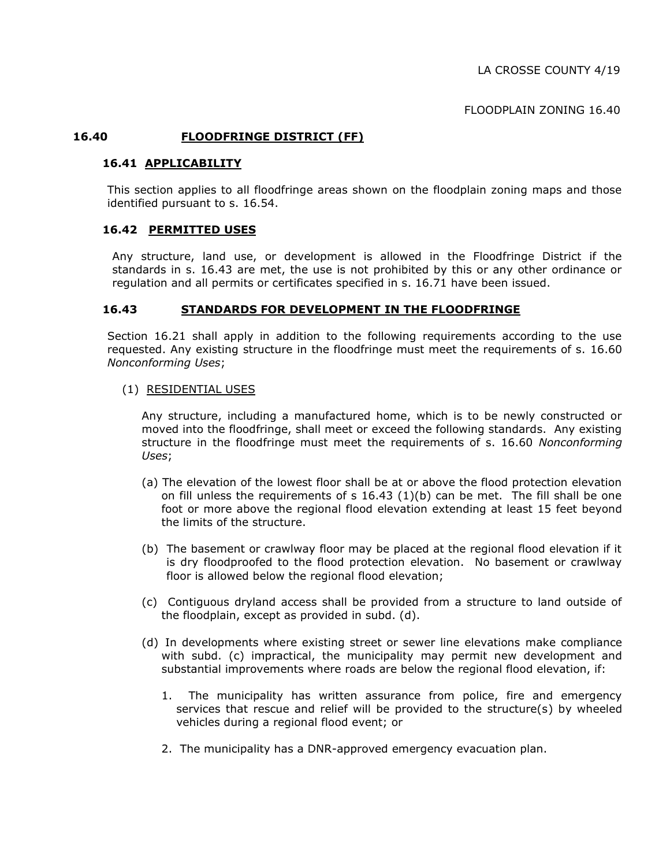FLOODPLAIN ZONING 16.40

#### **16.40 FLOODFRINGE DISTRICT (FF)**

# **16.41 APPLICABILITY**

This section applies to all floodfringe areas shown on the floodplain zoning maps and those identified pursuant to s. 16.54.

#### **16.42 PERMITTED USES**

Any structure, land use, or development is allowed in the Floodfringe District if the standards in s. 16.43 are met, the use is not prohibited by this or any other ordinance or regulation and all permits or certificates specified in s. 16.71 have been issued.

#### **16.43 STANDARDS FOR DEVELOPMENT IN THE FLOODFRINGE**

Section 16.21 shall apply in addition to the following requirements according to the use requested. Any existing structure in the floodfringe must meet the requirements of s. 16.60 *Nonconforming Uses*;

#### (1) RESIDENTIAL USES

Any structure, including a manufactured home, which is to be newly constructed or moved into the floodfringe, shall meet or exceed the following standards. Any existing structure in the floodfringe must meet the requirements of s. 16.60 *Nonconforming Uses*;

- (a) The elevation of the lowest floor shall be at or above the flood protection elevation on fill unless the requirements of s  $16.43$  (1)(b) can be met. The fill shall be one foot or more above the regional flood elevation extending at least 15 feet beyond the limits of the structure.
- (b) The basement or crawlway floor may be placed at the regional flood elevation if it is dry floodproofed to the flood protection elevation. No basement or crawlway floor is allowed below the regional flood elevation;
- (c) Contiguous dryland access shall be provided from a structure to land outside of the floodplain, except as provided in subd. (d).
- (d) In developments where existing street or sewer line elevations make compliance with subd. (c) impractical, the municipality may permit new development and substantial improvements where roads are below the regional flood elevation, if:
	- 1. The municipality has written assurance from police, fire and emergency services that rescue and relief will be provided to the structure(s) by wheeled vehicles during a regional flood event; or
	- 2. The municipality has a DNR-approved emergency evacuation plan.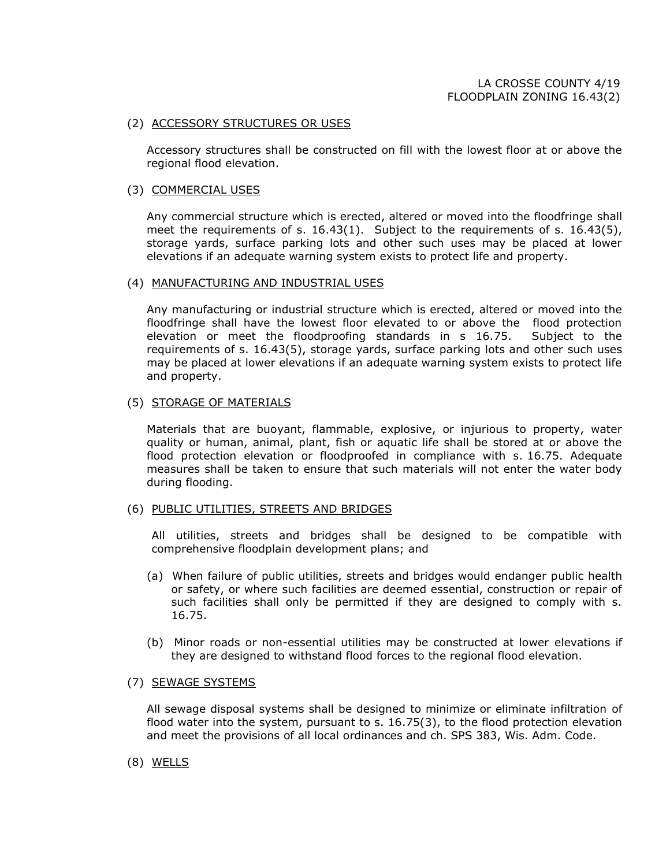#### (2) ACCESSORY STRUCTURES OR USES

Accessory structures shall be constructed on fill with the lowest floor at or above the regional flood elevation.

#### (3) COMMERCIAL USES

Any commercial structure which is erected, altered or moved into the floodfringe shall meet the requirements of s. 16.43(1). Subject to the requirements of s. 16.43(5), storage yards, surface parking lots and other such uses may be placed at lower elevations if an adequate warning system exists to protect life and property.

#### (4) MANUFACTURING AND INDUSTRIAL USES

Any manufacturing or industrial structure which is erected, altered or moved into the floodfringe shall have the lowest floor elevated to or above the flood protection elevation or meet the floodproofing standards in s 16.75. Subject to the requirements of s. 16.43(5), storage yards, surface parking lots and other such uses may be placed at lower elevations if an adequate warning system exists to protect life and property.

#### (5) STORAGE OF MATERIALS

Materials that are buoyant, flammable, explosive, or injurious to property, water quality or human, animal, plant, fish or aquatic life shall be stored at or above the flood protection elevation or floodproofed in compliance with s. 16.75. Adequate measures shall be taken to ensure that such materials will not enter the water body during flooding.

#### (6) PUBLIC UTILITIES, STREETS AND BRIDGES

All utilities, streets and bridges shall be designed to be compatible with comprehensive floodplain development plans; and

- (a) When failure of public utilities, streets and bridges would endanger public health or safety, or where such facilities are deemed essential, construction or repair of such facilities shall only be permitted if they are designed to comply with s. 16.75.
- (b) Minor roads or non-essential utilities may be constructed at lower elevations if they are designed to withstand flood forces to the regional flood elevation.

#### (7) SEWAGE SYSTEMS

All sewage disposal systems shall be designed to minimize or eliminate infiltration of flood water into the system, pursuant to s. 16.75(3), to the flood protection elevation and meet the provisions of all local ordinances and ch. SPS 383, Wis. Adm. Code.

(8) WELLS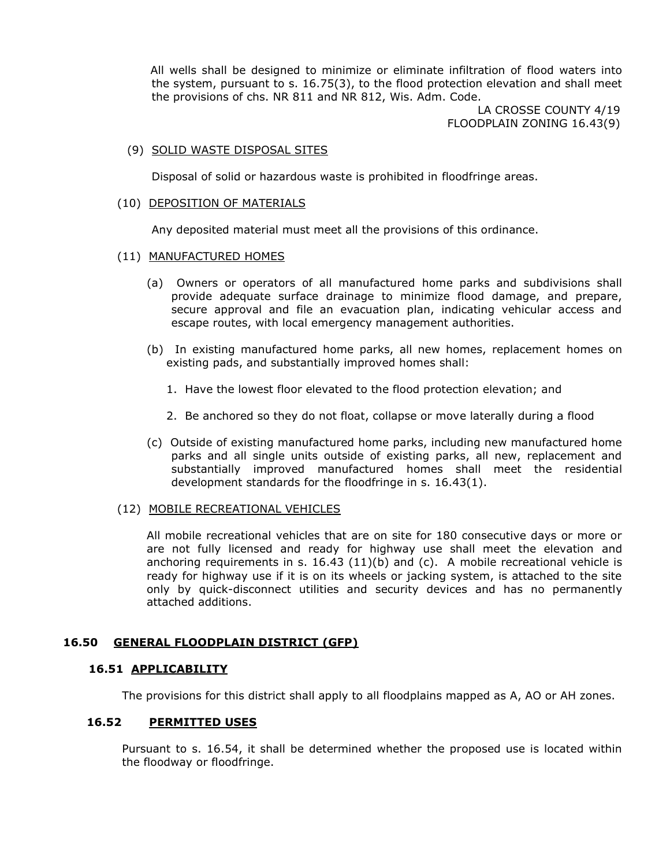All wells shall be designed to minimize or eliminate infiltration of flood waters into the system, pursuant to s. 16.75(3), to the flood protection elevation and shall meet the provisions of chs. NR 811 and NR 812, Wis. Adm. Code.

> LA CROSSE COUNTY 4/19 FLOODPLAIN ZONING 16.43(9)

#### (9) SOLID WASTE DISPOSAL SITES

Disposal of solid or hazardous waste is prohibited in floodfringe areas.

#### (10) DEPOSITION OF MATERIALS

Any deposited material must meet all the provisions of this ordinance.

#### (11) MANUFACTURED HOMES

- (a) Owners or operators of all manufactured home parks and subdivisions shall provide adequate surface drainage to minimize flood damage, and prepare, secure approval and file an evacuation plan, indicating vehicular access and escape routes, with local emergency management authorities.
- (b) In existing manufactured home parks, all new homes, replacement homes on existing pads, and substantially improved homes shall:
	- 1. Have the lowest floor elevated to the flood protection elevation; and
	- 2. Be anchored so they do not float, collapse or move laterally during a flood
- (c) Outside of existing manufactured home parks, including new manufactured home parks and all single units outside of existing parks, all new, replacement and substantially improved manufactured homes shall meet the residential development standards for the floodfringe in s. 16.43(1).

#### (12) MOBILE RECREATIONAL VEHICLES

All mobile recreational vehicles that are on site for 180 consecutive days or more or are not fully licensed and ready for highway use shall meet the elevation and anchoring requirements in s.  $16.43$  (11)(b) and (c). A mobile recreational vehicle is ready for highway use if it is on its wheels or jacking system, is attached to the site only by quick-disconnect utilities and security devices and has no permanently attached additions.

#### **16.50 GENERAL FLOODPLAIN DISTRICT (GFP)**

#### **16.51 APPLICABILITY**

The provisions for this district shall apply to all floodplains mapped as A, AO or AH zones.

### **16.52 PERMITTED USES**

Pursuant to s. 16.54, it shall be determined whether the proposed use is located within the floodway or floodfringe.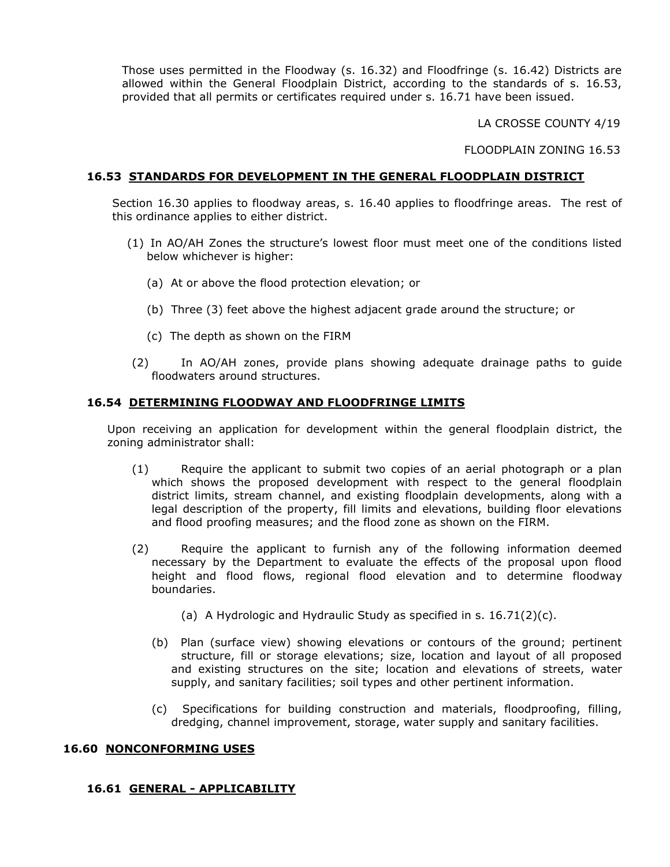Those uses permitted in the Floodway (s. 16.32) and Floodfringe (s. 16.42) Districts are allowed within the General Floodplain District, according to the standards of s. 16.53, provided that all permits or certificates required under s. 16.71 have been issued.

LA CROSSE COUNTY 4/19

FLOODPLAIN ZONING 16.53

## **16.53 STANDARDS FOR DEVELOPMENT IN THE GENERAL FLOODPLAIN DISTRICT**

Section 16.30 applies to floodway areas, s. 16.40 applies to floodfringe areas. The rest of this ordinance applies to either district.

- (1) In AO/AH Zones the structure's lowest floor must meet one of the conditions listed below whichever is higher:
	- (a) At or above the flood protection elevation; or
	- (b) Three (3) feet above the highest adjacent grade around the structure; or
	- (c) The depth as shown on the FIRM
- (2) In AO/AH zones, provide plans showing adequate drainage paths to guide floodwaters around structures.

### **16.54 DETERMINING FLOODWAY AND FLOODFRINGE LIMITS**

Upon receiving an application for development within the general floodplain district, the zoning administrator shall:

- (1) Require the applicant to submit two copies of an aerial photograph or a plan which shows the proposed development with respect to the general floodplain district limits, stream channel, and existing floodplain developments, along with a legal description of the property, fill limits and elevations, building floor elevations and flood proofing measures; and the flood zone as shown on the FIRM.
- (2) Require the applicant to furnish any of the following information deemed necessary by the Department to evaluate the effects of the proposal upon flood height and flood flows, regional flood elevation and to determine floodway boundaries.
	- (a) A Hydrologic and Hydraulic Study as specified in s. 16.71(2)(c).
	- (b) Plan (surface view) showing elevations or contours of the ground; pertinent structure, fill or storage elevations; size, location and layout of all proposed and existing structures on the site; location and elevations of streets, water supply, and sanitary facilities; soil types and other pertinent information.
	- (c) Specifications for building construction and materials, floodproofing, filling, dredging, channel improvement, storage, water supply and sanitary facilities.

### **16.60 NONCONFORMING USES**

### **16.61 GENERAL - APPLICABILITY**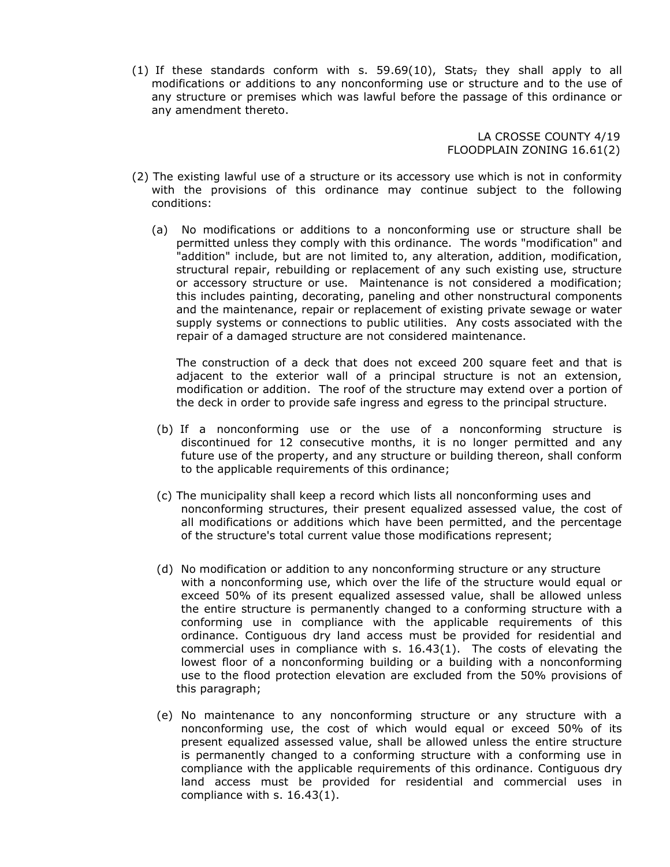(1) If these standards conform with s. 59.69(10), Stats<sub>r</sub> they shall apply to all modifications or additions to any nonconforming use or structure and to the use of any structure or premises which was lawful before the passage of this ordinance or any amendment thereto.

> LA CROSSE COUNTY 4/19 FLOODPLAIN ZONING 16.61(2)

- (2) The existing lawful use of a structure or its accessory use which is not in conformity with the provisions of this ordinance may continue subject to the following conditions:
	- (a) No modifications or additions to a nonconforming use or structure shall be permitted unless they comply with this ordinance. The words "modification" and "addition" include, but are not limited to, any alteration, addition, modification, structural repair, rebuilding or replacement of any such existing use, structure or accessory structure or use. Maintenance is not considered a modification; this includes painting, decorating, paneling and other nonstructural components and the maintenance, repair or replacement of existing private sewage or water supply systems or connections to public utilities. Any costs associated with the repair of a damaged structure are not considered maintenance.

The construction of a deck that does not exceed 200 square feet and that is adjacent to the exterior wall of a principal structure is not an extension, modification or addition. The roof of the structure may extend over a portion of the deck in order to provide safe ingress and egress to the principal structure.

- (b) If a nonconforming use or the use of a nonconforming structure is discontinued for 12 consecutive months, it is no longer permitted and any future use of the property, and any structure or building thereon, shall conform to the applicable requirements of this ordinance;
- (c) The municipality shall keep a record which lists all nonconforming uses and nonconforming structures, their present equalized assessed value, the cost of all modifications or additions which have been permitted, and the percentage of the structure's total current value those modifications represent;
- (d) No modification or addition to any nonconforming structure or any structure with a nonconforming use, which over the life of the structure would equal or exceed 50% of its present equalized assessed value, shall be allowed unless the entire structure is permanently changed to a conforming structure with a conforming use in compliance with the applicable requirements of this ordinance. Contiguous dry land access must be provided for residential and commercial uses in compliance with s. 16.43(1). The costs of elevating the lowest floor of a nonconforming building or a building with a nonconforming use to the flood protection elevation are excluded from the 50% provisions of this paragraph;
- (e) No maintenance to any nonconforming structure or any structure with a nonconforming use, the cost of which would equal or exceed 50% of its present equalized assessed value, shall be allowed unless the entire structure is permanently changed to a conforming structure with a conforming use in compliance with the applicable requirements of this ordinance. Contiguous dry land access must be provided for residential and commercial uses in compliance with s. 16.43(1).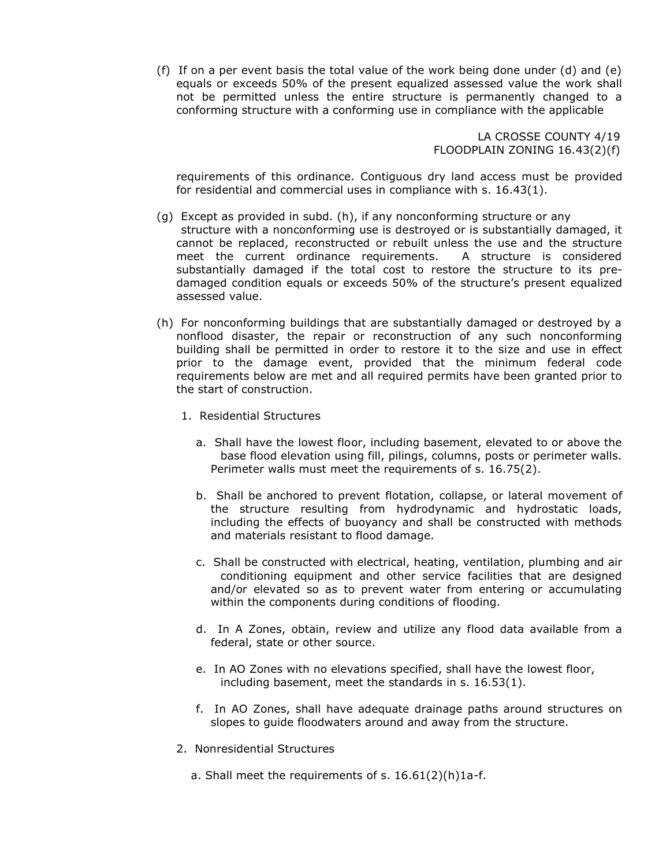(f) If on a per event basis the total value of the work being done under (d) and (e) equals or exceeds 50% of the present equalized assessed value the work shall not be permitted unless the entire structure is permanently changed to a conforming structure with a conforming use in compliance with the applicable

> LA CROSSE COUNTY 4/19 FLOODPLAIN ZONING 16.43(2)(f)

requirements of this ordinance. Contiguous dry land access must be provided for residential and commercial uses in compliance with s. 16.43(1).

- (g) Except as provided in subd. (h), if any nonconforming structure or any structure with a nonconforming use is destroyed or is substantially damaged, it cannot be replaced, reconstructed or rebuilt unless the use and the structure meet the current ordinance requirements. A structure is considered substantially damaged if the total cost to restore the structure to its predamaged condition equals or exceeds 50% of the structure's present equalized assessed value.
- (h) For nonconforming buildings that are substantially damaged or destroyed by a nonflood disaster, the repair or reconstruction of any such nonconforming building shall be permitted in order to restore it to the size and use in effect prior to the damage event, provided that the minimum federal code requirements below are met and all required permits have been granted prior to the start of construction.
	- 1. Residential Structures
		- a. Shall have the lowest floor, including basement, elevated to or above the base flood elevation using fill, pilings, columns, posts or perimeter walls. Perimeter walls must meet the requirements of s. 16.75(2).
		- b. Shall be anchored to prevent flotation, collapse, or lateral movement of the structure resulting from hydrodynamic and hydrostatic loads, including the effects of buoyancy and shall be constructed with methods and materials resistant to flood damage.
		- c. Shall be constructed with electrical, heating, ventilation, plumbing and air conditioning equipment and other service facilities that are designed and/or elevated so as to prevent water from entering or accumulating within the components during conditions of flooding.
		- d. In A Zones, obtain, review and utilize any flood data available from a federal, state or other source.
		- e. In AO Zones with no elevations specified, shall have the lowest floor, including basement, meet the standards in s. 16.53(1).
		- f. In AO Zones, shall have adequate drainage paths around structures on slopes to guide floodwaters around and away from the structure.
	- 2. Nonresidential Structures
		- a. Shall meet the requirements of s. 16.61(2)(h)1a-f.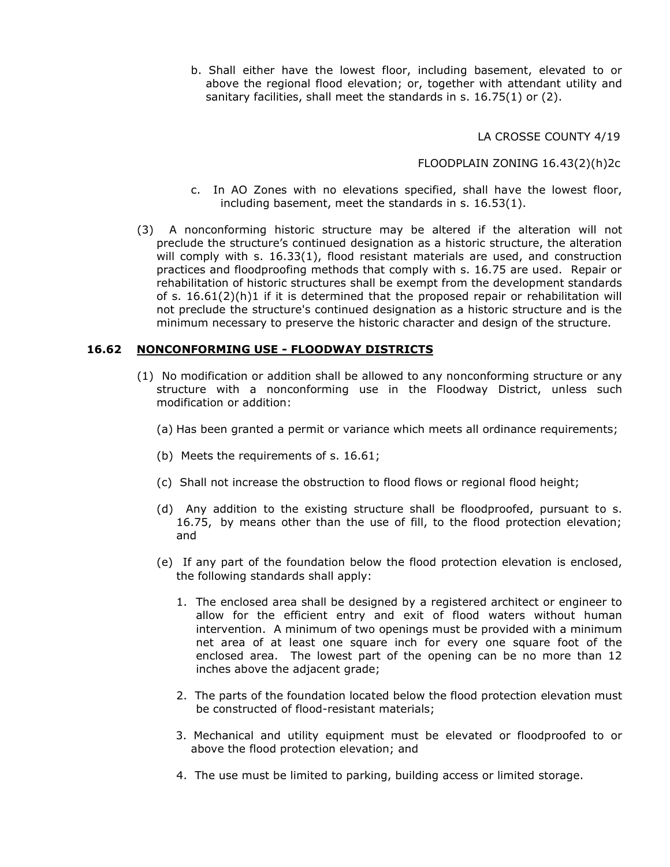b. Shall either have the lowest floor, including basement, elevated to or above the regional flood elevation; or, together with attendant utility and sanitary facilities, shall meet the standards in s. 16.75(1) or (2).

LA CROSSE COUNTY 4/19

FLOODPLAIN ZONING 16.43(2)(h)2c

- c. In AO Zones with no elevations specified, shall have the lowest floor, including basement, meet the standards in s. 16.53(1).
- (3) A nonconforming historic structure may be altered if the alteration will not preclude the structure's continued designation as a historic structure, the alteration will comply with s. 16.33(1), flood resistant materials are used, and construction practices and floodproofing methods that comply with s. 16.75 are used. Repair or rehabilitation of historic structures shall be exempt from the development standards of s.  $16.61(2)(h)1$  if it is determined that the proposed repair or rehabilitation will not preclude the structure's continued designation as a historic structure and is the minimum necessary to preserve the historic character and design of the structure.

### **16.62 NONCONFORMING USE - FLOODWAY DISTRICTS**

- (1) No modification or addition shall be allowed to any nonconforming structure or any structure with a nonconforming use in the Floodway District, unless such modification or addition:
	- (a) Has been granted a permit or variance which meets all ordinance requirements;
	- (b) Meets the requirements of s. 16.61;
	- (c) Shall not increase the obstruction to flood flows or regional flood height;
	- (d) Any addition to the existing structure shall be floodproofed, pursuant to s. 16.75, by means other than the use of fill, to the flood protection elevation; and
	- (e) If any part of the foundation below the flood protection elevation is enclosed, the following standards shall apply:
		- 1. The enclosed area shall be designed by a registered architect or engineer to allow for the efficient entry and exit of flood waters without human intervention. A minimum of two openings must be provided with a minimum net area of at least one square inch for every one square foot of the enclosed area. The lowest part of the opening can be no more than 12 inches above the adjacent grade;
		- 2. The parts of the foundation located below the flood protection elevation must be constructed of flood-resistant materials;
		- 3. Mechanical and utility equipment must be elevated or floodproofed to or above the flood protection elevation; and
		- 4. The use must be limited to parking, building access or limited storage.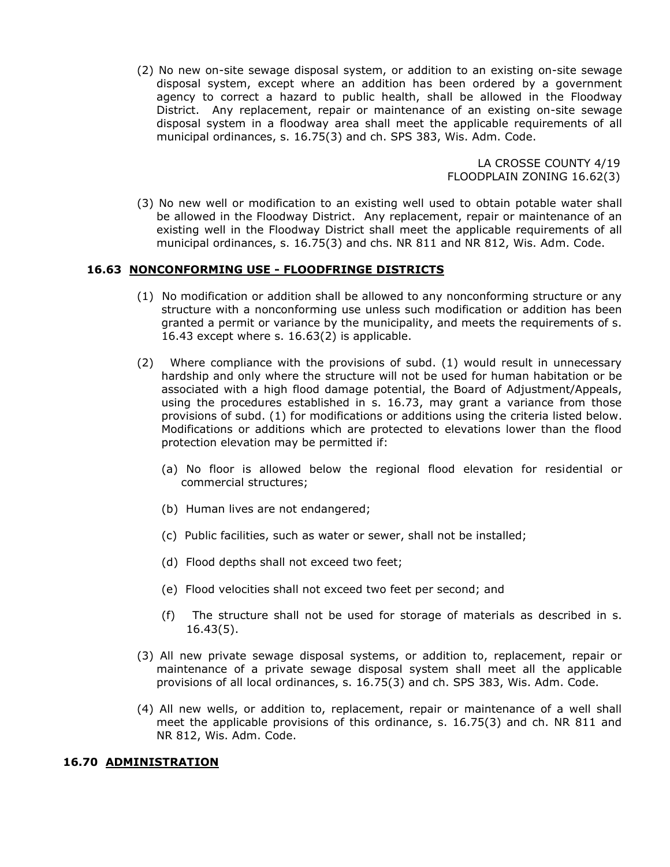(2) No new on-site sewage disposal system, or addition to an existing on-site sewage disposal system, except where an addition has been ordered by a government agency to correct a hazard to public health, shall be allowed in the Floodway District. Any replacement, repair or maintenance of an existing on-site sewage disposal system in a floodway area shall meet the applicable requirements of all municipal ordinances, s. 16.75(3) and ch. SPS 383, Wis. Adm. Code.

> LA CROSSE COUNTY 4/19 FLOODPLAIN ZONING 16.62(3)

(3) No new well or modification to an existing well used to obtain potable water shall be allowed in the Floodway District. Any replacement, repair or maintenance of an existing well in the Floodway District shall meet the applicable requirements of all municipal ordinances, s. 16.75(3) and chs. NR 811 and NR 812, Wis. Adm. Code.

### **16.63 NONCONFORMING USE - FLOODFRINGE DISTRICTS**

- (1) No modification or addition shall be allowed to any nonconforming structure or any structure with a nonconforming use unless such modification or addition has been granted a permit or variance by the municipality, and meets the requirements of s. 16.43 except where s. 16.63(2) is applicable.
- (2) Where compliance with the provisions of subd. (1) would result in unnecessary hardship and only where the structure will not be used for human habitation or be associated with a high flood damage potential, the Board of Adjustment/Appeals, using the procedures established in s. 16.73, may grant a variance from those provisions of subd. (1) for modifications or additions using the criteria listed below. Modifications or additions which are protected to elevations lower than the flood protection elevation may be permitted if:
	- (a) No floor is allowed below the regional flood elevation for residential or commercial structures;
	- (b) Human lives are not endangered;
	- (c) Public facilities, such as water or sewer, shall not be installed;
	- (d) Flood depths shall not exceed two feet;
	- (e) Flood velocities shall not exceed two feet per second; and
	- (f) The structure shall not be used for storage of materials as described in s. 16.43(5).
- (3) All new private sewage disposal systems, or addition to, replacement, repair or maintenance of a private sewage disposal system shall meet all the applicable provisions of all local ordinances, s. 16.75(3) and ch. SPS 383, Wis. Adm. Code.
- (4) All new wells, or addition to, replacement, repair or maintenance of a well shall meet the applicable provisions of this ordinance, s. 16.75(3) and ch. NR 811 and NR 812, Wis. Adm. Code.

#### **16.70 ADMINISTRATION**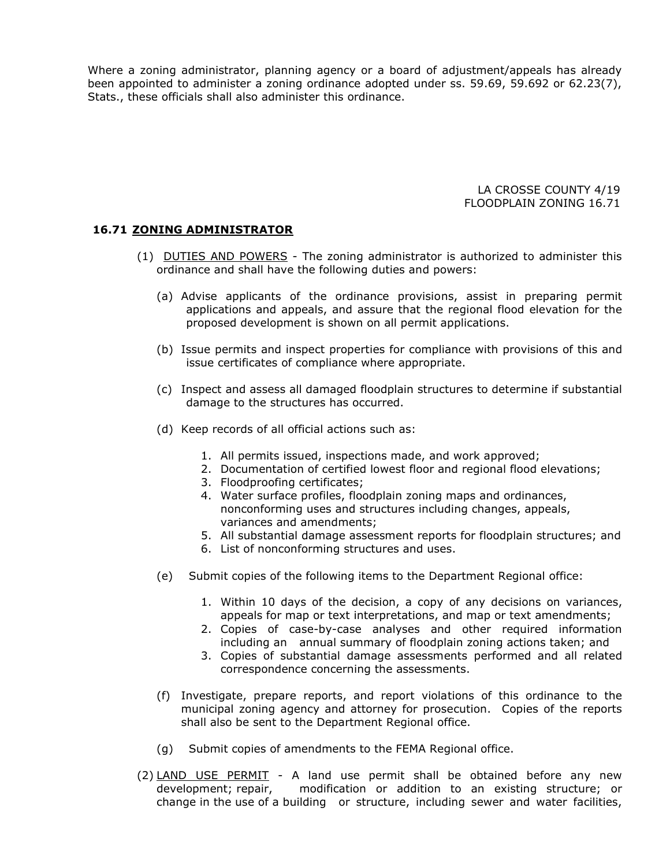Where a zoning administrator, planning agency or a board of adjustment/appeals has already been appointed to administer a zoning ordinance adopted under ss. 59.69, 59.692 or 62.23(7), Stats., these officials shall also administer this ordinance.

> LA CROSSE COUNTY 4/19 FLOODPLAIN ZONING 16.71

#### **16.71 ZONING ADMINISTRATOR**

- (1) DUTIES AND POWERS The zoning administrator is authorized to administer this ordinance and shall have the following duties and powers:
	- (a) Advise applicants of the ordinance provisions, assist in preparing permit applications and appeals, and assure that the regional flood elevation for the proposed development is shown on all permit applications.
	- (b) Issue permits and inspect properties for compliance with provisions of this and issue certificates of compliance where appropriate.
	- (c) Inspect and assess all damaged floodplain structures to determine if substantial damage to the structures has occurred.
	- (d) Keep records of all official actions such as:
		- 1. All permits issued, inspections made, and work approved;
		- 2. Documentation of certified lowest floor and regional flood elevations;
		- 3. Floodproofing certificates;
		- 4. Water surface profiles, floodplain zoning maps and ordinances, nonconforming uses and structures including changes, appeals, variances and amendments;
		- 5. All substantial damage assessment reports for floodplain structures; and
		- 6. List of nonconforming structures and uses.
	- (e) Submit copies of the following items to the Department Regional office:
		- 1. Within 10 days of the decision, a copy of any decisions on variances, appeals for map or text interpretations, and map or text amendments;
		- 2. Copies of case-by-case analyses and other required information including an annual summary of floodplain zoning actions taken; and
		- 3. Copies of substantial damage assessments performed and all related correspondence concerning the assessments.
	- (f) Investigate, prepare reports, and report violations of this ordinance to the municipal zoning agency and attorney for prosecution. Copies of the reports shall also be sent to the Department Regional office.
	- (g) Submit copies of amendments to the FEMA Regional office.
- (2) LAND USE PERMIT A land use permit shall be obtained before any new development; repair, modification or addition to an existing structure; or change in the use of a building or structure, including sewer and water facilities,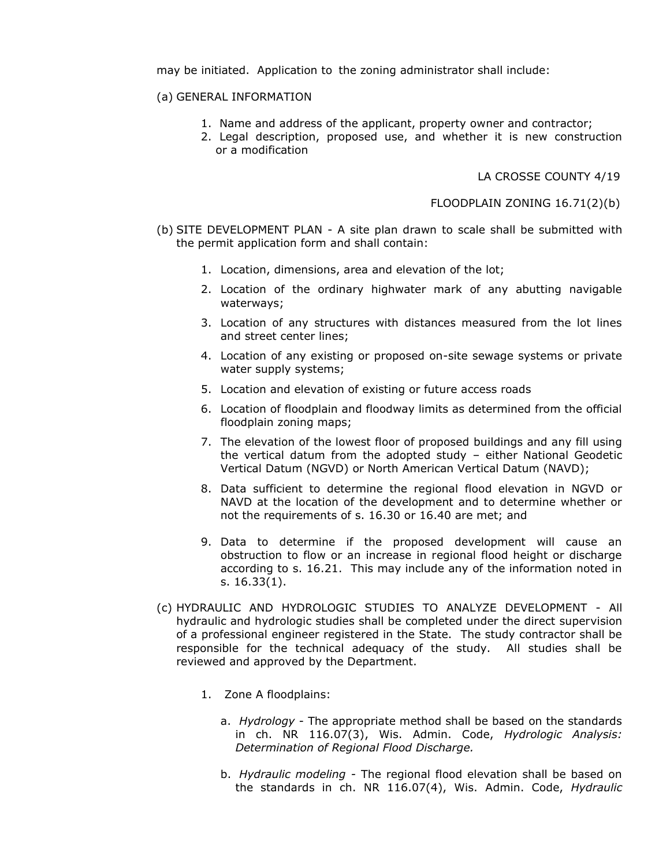may be initiated. Application to the zoning administrator shall include:

#### (a) GENERAL INFORMATION

- 1. Name and address of the applicant, property owner and contractor;
- 2. Legal description, proposed use, and whether it is new construction or a modification

LA CROSSE COUNTY 4/19

FLOODPLAIN ZONING 16.71(2)(b)

- (b) SITE DEVELOPMENT PLAN A site plan drawn to scale shall be submitted with the permit application form and shall contain:
	- 1. Location, dimensions, area and elevation of the lot;
	- 2. Location of the ordinary highwater mark of any abutting navigable waterways;
	- 3. Location of any structures with distances measured from the lot lines and street center lines;
	- 4. Location of any existing or proposed on-site sewage systems or private water supply systems;
	- 5. Location and elevation of existing or future access roads
	- 6. Location of floodplain and floodway limits as determined from the official floodplain zoning maps;
	- 7. The elevation of the lowest floor of proposed buildings and any fill using the vertical datum from the adopted study – either National Geodetic Vertical Datum (NGVD) or North American Vertical Datum (NAVD);
	- 8. Data sufficient to determine the regional flood elevation in NGVD or NAVD at the location of the development and to determine whether or not the requirements of s. 16.30 or 16.40 are met; and
	- 9. Data to determine if the proposed development will cause an obstruction to flow or an increase in regional flood height or discharge according to s. 16.21. This may include any of the information noted in s. 16.33(1).
- (c) HYDRAULIC AND HYDROLOGIC STUDIES TO ANALYZE DEVELOPMENT All hydraulic and hydrologic studies shall be completed under the direct supervision of a professional engineer registered in the State. The study contractor shall be responsible for the technical adequacy of the study. All studies shall be reviewed and approved by the Department.
	- 1. Zone A floodplains:
		- a. *Hydrology*  The appropriate method shall be based on the standards in ch. NR 116.07(3), Wis. Admin. Code, *Hydrologic Analysis: Determination of Regional Flood Discharge.*
		- b. *Hydraulic modeling -* The regional flood elevation shall be based on the standards in ch. NR 116.07(4), Wis. Admin. Code, *Hydraulic*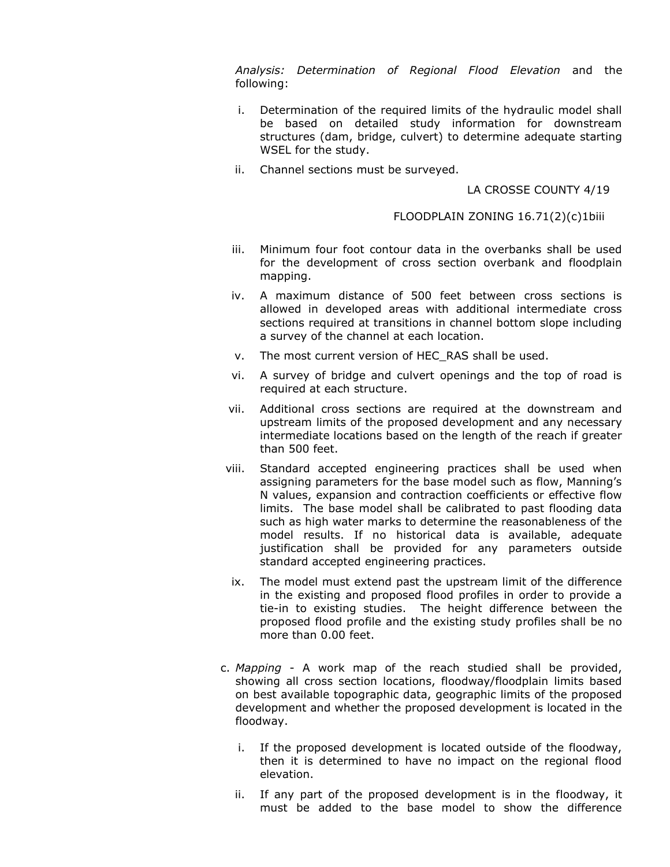*Analysis: Determination of Regional Flood Elevation* and the following:

- i. Determination of the required limits of the hydraulic model shall be based on detailed study information for downstream structures (dam, bridge, culvert) to determine adequate starting WSEL for the study.
- ii. Channel sections must be surveyed.

#### LA CROSSE COUNTY 4/19

#### FLOODPLAIN ZONING 16.71(2)(c)1biii

- iii. Minimum four foot contour data in the overbanks shall be used for the development of cross section overbank and floodplain mapping.
- iv. A maximum distance of 500 feet between cross sections is allowed in developed areas with additional intermediate cross sections required at transitions in channel bottom slope including a survey of the channel at each location.
- v. The most current version of HEC\_RAS shall be used.
- vi. A survey of bridge and culvert openings and the top of road is required at each structure.
- vii. Additional cross sections are required at the downstream and upstream limits of the proposed development and any necessary intermediate locations based on the length of the reach if greater than 500 feet.
- viii. Standard accepted engineering practices shall be used when assigning parameters for the base model such as flow, Manning's N values, expansion and contraction coefficients or effective flow limits. The base model shall be calibrated to past flooding data such as high water marks to determine the reasonableness of the model results. If no historical data is available, adequate justification shall be provided for any parameters outside standard accepted engineering practices.
- ix. The model must extend past the upstream limit of the difference in the existing and proposed flood profiles in order to provide a tie-in to existing studies. The height difference between the proposed flood profile and the existing study profiles shall be no more than 0.00 feet.
- c. *Mapping*  A work map of the reach studied shall be provided, showing all cross section locations, floodway/floodplain limits based on best available topographic data, geographic limits of the proposed development and whether the proposed development is located in the floodway.
	- i. If the proposed development is located outside of the floodway, then it is determined to have no impact on the regional flood elevation.
	- ii. If any part of the proposed development is in the floodway, it must be added to the base model to show the difference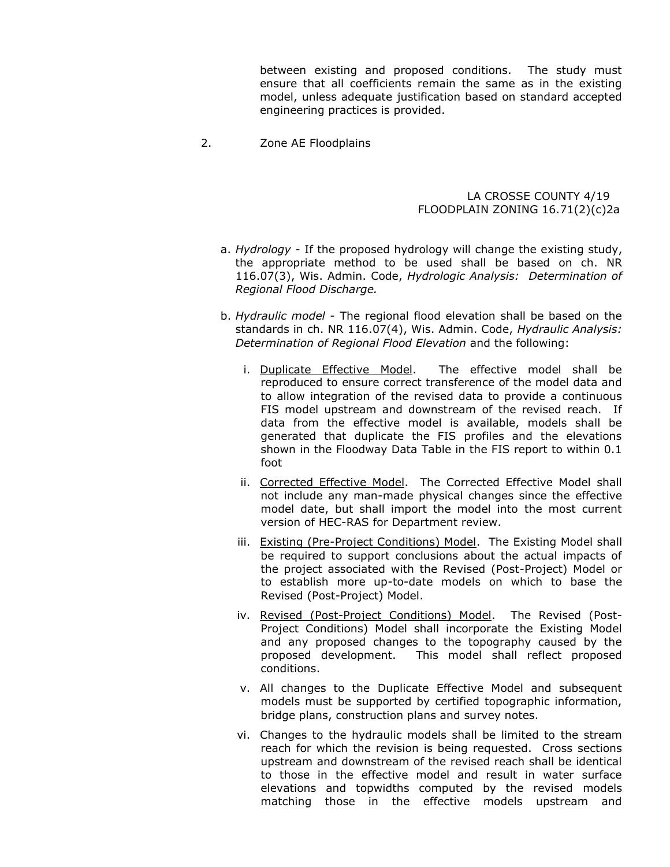between existing and proposed conditions. The study must ensure that all coefficients remain the same as in the existing model, unless adequate justification based on standard accepted engineering practices is provided.

2. Zone AE Floodplains

#### LA CROSSE COUNTY 4/19 FLOODPLAIN ZONING 16.71(2)(c)2a

- a. *Hydrology -* If the proposed hydrology will change the existing study, the appropriate method to be used shall be based on ch. NR 116.07(3), Wis. Admin. Code, *Hydrologic Analysis: Determination of Regional Flood Discharge.*
- b. *Hydraulic model* The regional flood elevation shall be based on the standards in ch. NR 116.07(4), Wis. Admin. Code, *Hydraulic Analysis: Determination of Regional Flood Elevation* and the following:
	- i. Duplicate Effective Model. The effective model shall be reproduced to ensure correct transference of the model data and to allow integration of the revised data to provide a continuous FIS model upstream and downstream of the revised reach. If data from the effective model is available, models shall be generated that duplicate the FIS profiles and the elevations shown in the Floodway Data Table in the FIS report to within 0.1 foot
	- ii. Corrected Effective Model. The Corrected Effective Model shall not include any man-made physical changes since the effective model date, but shall import the model into the most current version of HEC-RAS for Department review.
	- iii. Existing (Pre-Project Conditions) Model. The Existing Model shall be required to support conclusions about the actual impacts of the project associated with the Revised (Post-Project) Model or to establish more up-to-date models on which to base the Revised (Post-Project) Model.
	- iv. Revised (Post-Project Conditions) Model. The Revised (Post-Project Conditions) Model shall incorporate the Existing Model and any proposed changes to the topography caused by the proposed development. This model shall reflect proposed conditions.
	- v. All changes to the Duplicate Effective Model and subsequent models must be supported by certified topographic information, bridge plans, construction plans and survey notes.
	- vi. Changes to the hydraulic models shall be limited to the stream reach for which the revision is being requested. Cross sections upstream and downstream of the revised reach shall be identical to those in the effective model and result in water surface elevations and topwidths computed by the revised models matching those in the effective models upstream and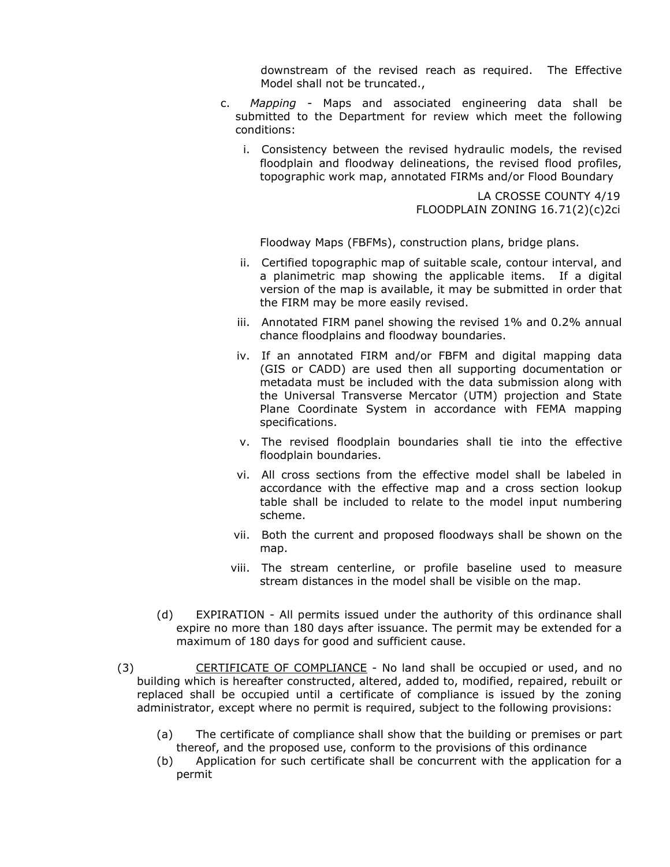downstream of the revised reach as required. The Effective Model shall not be truncated.,

- c. *Mapping -* Maps and associated engineering data shall be submitted to the Department for review which meet the following conditions:
	- i. Consistency between the revised hydraulic models, the revised floodplain and floodway delineations, the revised flood profiles, topographic work map, annotated FIRMs and/or Flood Boundary

 LA CROSSE COUNTY 4/19 FLOODPLAIN ZONING 16.71(2)(c)2ci

Floodway Maps (FBFMs), construction plans, bridge plans.

- ii. Certified topographic map of suitable scale, contour interval, and a planimetric map showing the applicable items. If a digital version of the map is available, it may be submitted in order that the FIRM may be more easily revised.
- iii. Annotated FIRM panel showing the revised 1% and 0.2% annual chance floodplains and floodway boundaries.
- iv. If an annotated FIRM and/or FBFM and digital mapping data (GIS or CADD) are used then all supporting documentation or metadata must be included with the data submission along with the Universal Transverse Mercator (UTM) projection and State Plane Coordinate System in accordance with FEMA mapping specifications.
- v. The revised floodplain boundaries shall tie into the effective floodplain boundaries.
- vi. All cross sections from the effective model shall be labeled in accordance with the effective map and a cross section lookup table shall be included to relate to the model input numbering scheme.
- vii. Both the current and proposed floodways shall be shown on the map.
- viii. The stream centerline, or profile baseline used to measure stream distances in the model shall be visible on the map.
- (d) EXPIRATION All permits issued under the authority of this ordinance shall expire no more than 180 days after issuance. The permit may be extended for a maximum of 180 days for good and sufficient cause.
- (3) CERTIFICATE OF COMPLIANCE No land shall be occupied or used, and no building which is hereafter constructed, altered, added to, modified, repaired, rebuilt or replaced shall be occupied until a certificate of compliance is issued by the zoning administrator, except where no permit is required, subject to the following provisions:
	- (a) The certificate of compliance shall show that the building or premises or part thereof, and the proposed use, conform to the provisions of this ordinance
	- (b) Application for such certificate shall be concurrent with the application for a permit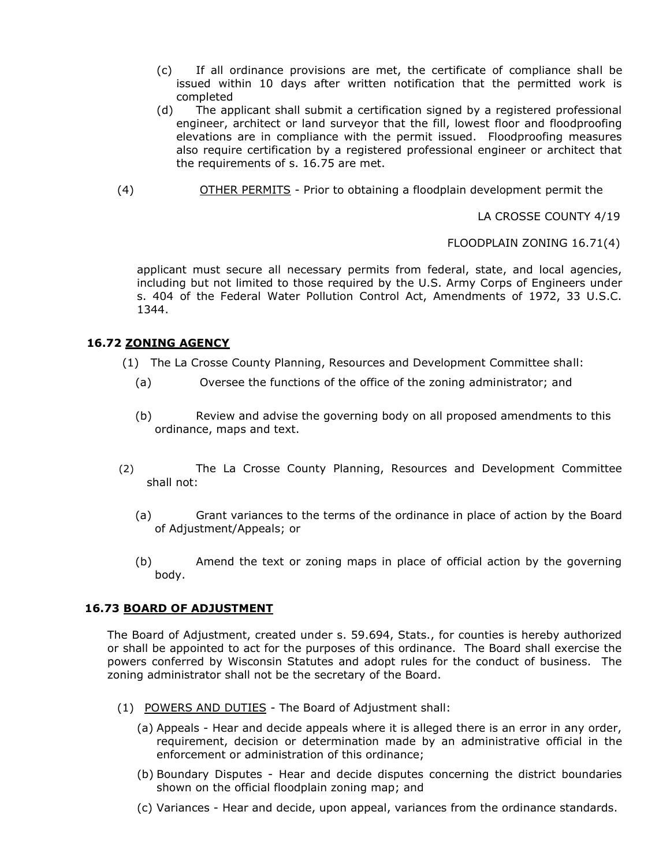- (c) If all ordinance provisions are met, the certificate of compliance shall be issued within 10 days after written notification that the permitted work is completed
- (d) The applicant shall submit a certification signed by a registered professional engineer, architect or land surveyor that the fill, lowest floor and floodproofing elevations are in compliance with the permit issued. Floodproofing measures also require certification by a registered professional engineer or architect that the requirements of s. 16.75 are met.
- (4) OTHER PERMITS Prior to obtaining a floodplain development permit the

LA CROSSE COUNTY 4/19

FLOODPLAIN ZONING 16.71(4)

applicant must secure all necessary permits from federal, state, and local agencies, including but not limited to those required by the U.S. Army Corps of Engineers under s. 404 of the Federal Water Pollution Control Act, Amendments of 1972, 33 U.S.C. 1344.

# **16.72 ZONING AGENCY**

- (1) The La Crosse County Planning, Resources and Development Committee shall:
	- (a) Oversee the functions of the office of the zoning administrator; and
	- (b) Review and advise the governing body on all proposed amendments to this ordinance, maps and text.
- (2) The La Crosse County Planning, Resources and Development Committee shall not:
	- (a) Grant variances to the terms of the ordinance in place of action by the Board of Adjustment/Appeals; or
	- (b) Amend the text or zoning maps in place of official action by the governing body.

### **16.73 BOARD OF ADJUSTMENT**

The Board of Adjustment, created under s. 59.694, Stats., for counties is hereby authorized or shall be appointed to act for the purposes of this ordinance. The Board shall exercise the powers conferred by Wisconsin Statutes and adopt rules for the conduct of business. The zoning administrator shall not be the secretary of the Board.

- (1) POWERS AND DUTIES The Board of Adjustment shall:
	- (a) Appeals Hear and decide appeals where it is alleged there is an error in any order, requirement, decision or determination made by an administrative official in the enforcement or administration of this ordinance;
	- (b) Boundary Disputes Hear and decide disputes concerning the district boundaries shown on the official floodplain zoning map; and
	- (c) Variances Hear and decide, upon appeal, variances from the ordinance standards.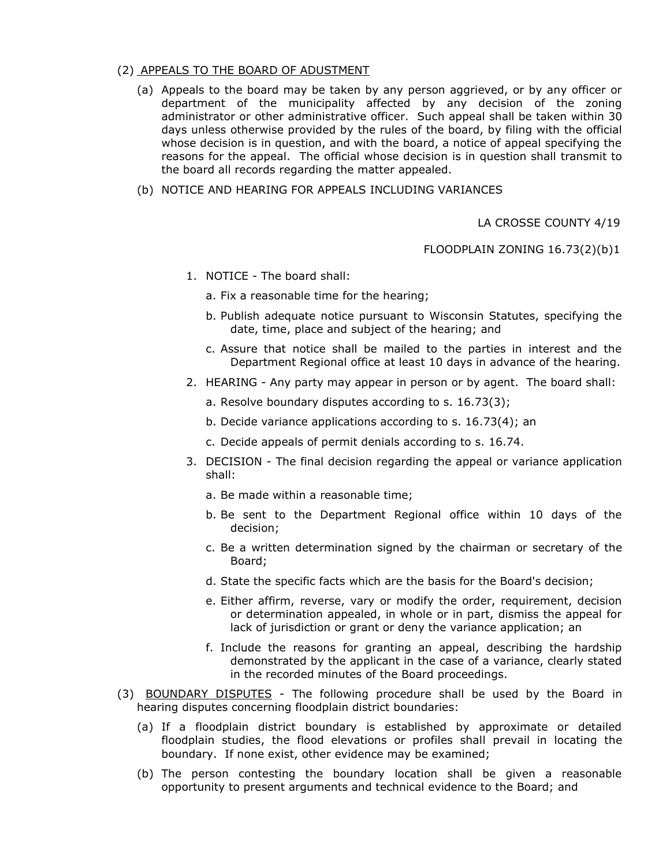#### (2) APPEALS TO THE BOARD OF ADUSTMENT

- (a) Appeals to the board may be taken by any person aggrieved, or by any officer or department of the municipality affected by any decision of the zoning administrator or other administrative officer. Such appeal shall be taken within 30 days unless otherwise provided by the rules of the board, by filing with the official whose decision is in question, and with the board, a notice of appeal specifying the reasons for the appeal. The official whose decision is in question shall transmit to the board all records regarding the matter appealed.
- (b) NOTICE AND HEARING FOR APPEALS INCLUDING VARIANCES

LA CROSSE COUNTY 4/19

FLOODPLAIN ZONING 16.73(2)(b)1

- 1. NOTICE The board shall:
	- a. Fix a reasonable time for the hearing;
	- b. Publish adequate notice pursuant to Wisconsin Statutes, specifying the date, time, place and subject of the hearing; and
	- c. Assure that notice shall be mailed to the parties in interest and the Department Regional office at least 10 days in advance of the hearing.
- 2. HEARING Any party may appear in person or by agent. The board shall:
	- a. Resolve boundary disputes according to s. 16.73(3);
	- b. Decide variance applications according to s. 16.73(4); an
	- c. Decide appeals of permit denials according to s. 16.74.
- 3. DECISION The final decision regarding the appeal or variance application shall:
	- a. Be made within a reasonable time;
	- b. Be sent to the Department Regional office within 10 days of the decision;
	- c. Be a written determination signed by the chairman or secretary of the Board;
	- d. State the specific facts which are the basis for the Board's decision;
	- e. Either affirm, reverse, vary or modify the order, requirement, decision or determination appealed, in whole or in part, dismiss the appeal for lack of jurisdiction or grant or deny the variance application; an
	- f. Include the reasons for granting an appeal, describing the hardship demonstrated by the applicant in the case of a variance, clearly stated in the recorded minutes of the Board proceedings.
- (3) BOUNDARY DISPUTES The following procedure shall be used by the Board in hearing disputes concerning floodplain district boundaries:
	- (a) If a floodplain district boundary is established by approximate or detailed floodplain studies, the flood elevations or profiles shall prevail in locating the boundary. If none exist, other evidence may be examined;
	- (b) The person contesting the boundary location shall be given a reasonable opportunity to present arguments and technical evidence to the Board; and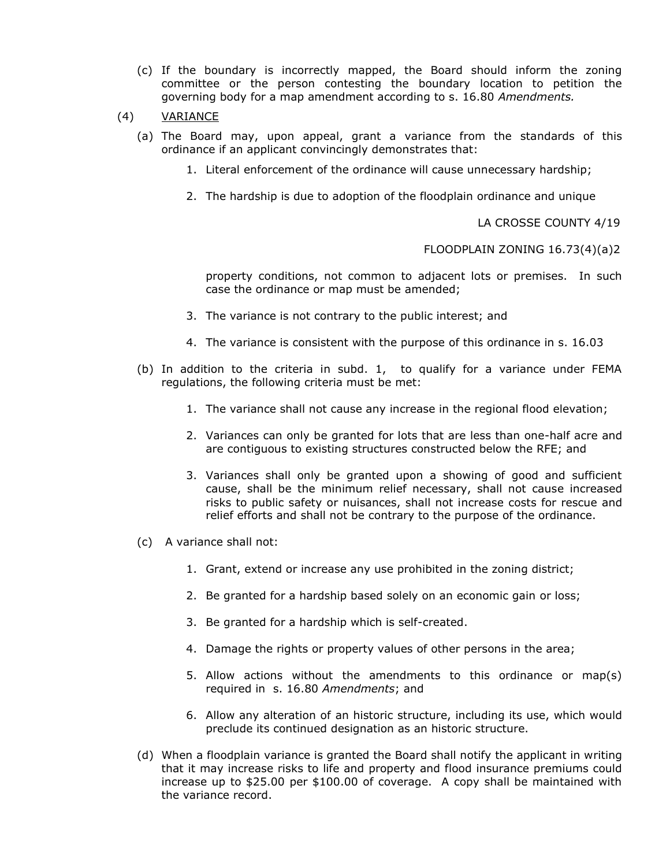- (c) If the boundary is incorrectly mapped, the Board should inform the zoning committee or the person contesting the boundary location to petition the governing body for a map amendment according to s. 16.80 *Amendments.*
- (4) VARIANCE
	- (a) The Board may, upon appeal, grant a variance from the standards of this ordinance if an applicant convincingly demonstrates that:
		- 1. Literal enforcement of the ordinance will cause unnecessary hardship;
		- 2. The hardship is due to adoption of the floodplain ordinance and unique

LA CROSSE COUNTY 4/19

FLOODPLAIN ZONING 16.73(4)(a)2

property conditions, not common to adjacent lots or premises. In such case the ordinance or map must be amended;

- 3. The variance is not contrary to the public interest; and
- 4. The variance is consistent with the purpose of this ordinance in s. 16.03
- (b) In addition to the criteria in subd. 1, to qualify for a variance under FEMA regulations, the following criteria must be met:
	- 1. The variance shall not cause any increase in the regional flood elevation;
	- 2. Variances can only be granted for lots that are less than one-half acre and are contiguous to existing structures constructed below the RFE; and
	- 3. Variances shall only be granted upon a showing of good and sufficient cause, shall be the minimum relief necessary, shall not cause increased risks to public safety or nuisances, shall not increase costs for rescue and relief efforts and shall not be contrary to the purpose of the ordinance.
- (c) A variance shall not:
	- 1. Grant, extend or increase any use prohibited in the zoning district;
	- 2. Be granted for a hardship based solely on an economic gain or loss;
	- 3. Be granted for a hardship which is self-created.
	- 4. Damage the rights or property values of other persons in the area;
	- 5. Allow actions without the amendments to this ordinance or map(s) required in s. 16.80 *Amendments*; and
	- 6. Allow any alteration of an historic structure, including its use, which would preclude its continued designation as an historic structure.
- (d) When a floodplain variance is granted the Board shall notify the applicant in writing that it may increase risks to life and property and flood insurance premiums could increase up to \$25.00 per \$100.00 of coverage. A copy shall be maintained with the variance record.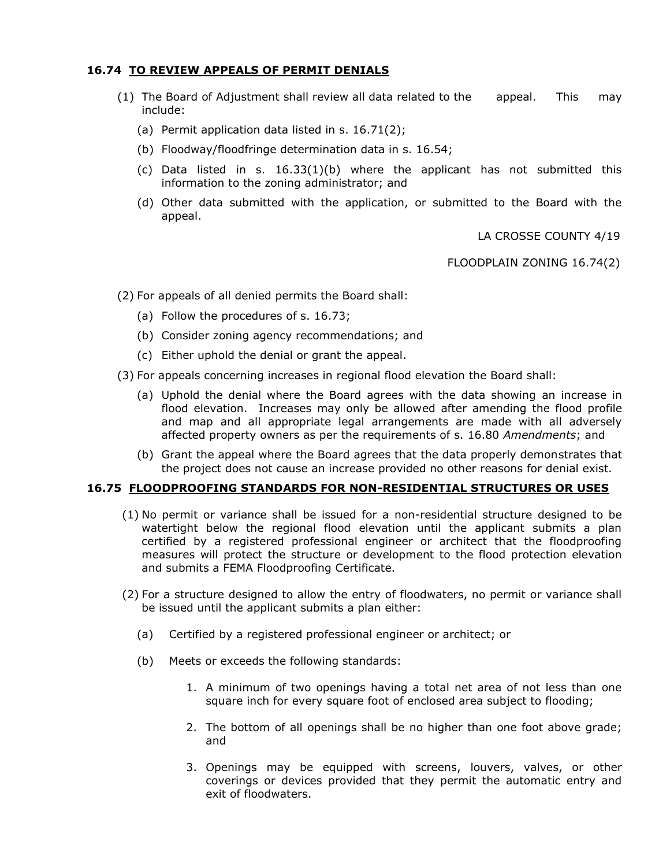# **16.74 TO REVIEW APPEALS OF PERMIT DENIALS**

- (1) The Board of Adjustment shall review all data related to the appeal. This may include:
	- (a) Permit application data listed in s. 16.71(2);
	- (b) Floodway/floodfringe determination data in s. 16.54;
	- (c) Data listed in s.  $16.33(1)(b)$  where the applicant has not submitted this information to the zoning administrator; and
	- (d) Other data submitted with the application, or submitted to the Board with the appeal.

LA CROSSE COUNTY 4/19

FLOODPLAIN ZONING 16.74(2)

(2) For appeals of all denied permits the Board shall:

- (a) Follow the procedures of s. 16.73;
- (b) Consider zoning agency recommendations; and
- (c) Either uphold the denial or grant the appeal.
- (3) For appeals concerning increases in regional flood elevation the Board shall:
	- (a) Uphold the denial where the Board agrees with the data showing an increase in flood elevation. Increases may only be allowed after amending the flood profile and map and all appropriate legal arrangements are made with all adversely affected property owners as per the requirements of s. 16.80 *Amendments*; and
	- (b) Grant the appeal where the Board agrees that the data properly demonstrates that the project does not cause an increase provided no other reasons for denial exist.

#### **16.75 FLOODPROOFING STANDARDS FOR NON-RESIDENTIAL STRUCTURES OR USES**

- (1) No permit or variance shall be issued for a non-residential structure designed to be watertight below the regional flood elevation until the applicant submits a plan certified by a registered professional engineer or architect that the floodproofing measures will protect the structure or development to the flood protection elevation and submits a FEMA Floodproofing Certificate.
- (2) For a structure designed to allow the entry of floodwaters, no permit or variance shall be issued until the applicant submits a plan either:
	- (a) Certified by a registered professional engineer or architect; or
	- (b) Meets or exceeds the following standards:
		- 1. A minimum of two openings having a total net area of not less than one square inch for every square foot of enclosed area subject to flooding;
		- 2. The bottom of all openings shall be no higher than one foot above grade; and
		- 3. Openings may be equipped with screens, louvers, valves, or other coverings or devices provided that they permit the automatic entry and exit of floodwaters.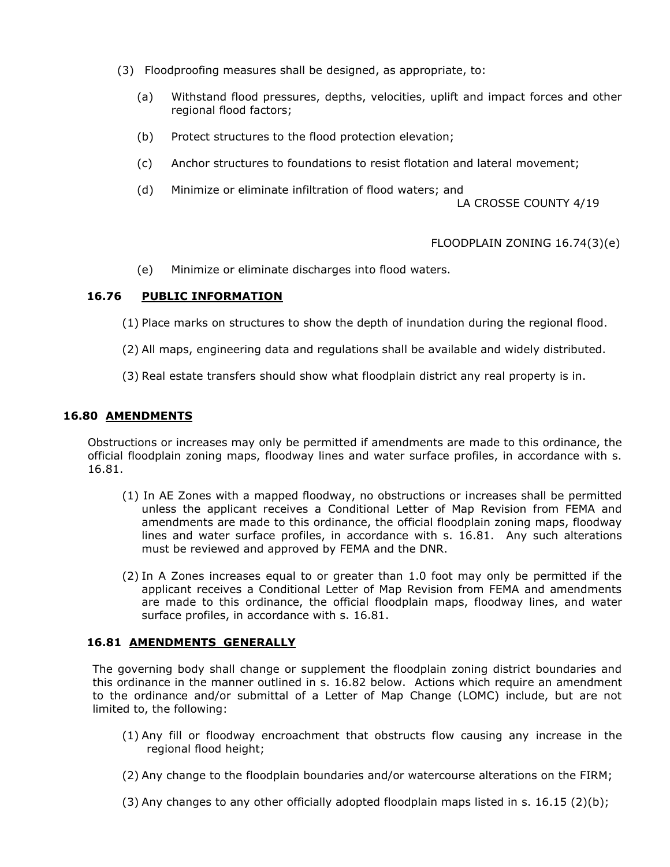- (3) Floodproofing measures shall be designed, as appropriate, to:
	- (a) Withstand flood pressures, depths, velocities, uplift and impact forces and other regional flood factors;
	- (b) Protect structures to the flood protection elevation;
	- (c) Anchor structures to foundations to resist flotation and lateral movement;
	- (d) Minimize or eliminate infiltration of flood waters; and

LA CROSSE COUNTY 4/19

# FLOODPLAIN ZONING 16.74(3)(e)

(e) Minimize or eliminate discharges into flood waters.

# **16.76 PUBLIC INFORMATION**

- (1) Place marks on structures to show the depth of inundation during the regional flood.
- (2) All maps, engineering data and regulations shall be available and widely distributed.
- (3) Real estate transfers should show what floodplain district any real property is in.

### **16.80 AMENDMENTS**

Obstructions or increases may only be permitted if amendments are made to this ordinance, the official floodplain zoning maps, floodway lines and water surface profiles, in accordance with s. 16.81.

- (1) In AE Zones with a mapped floodway, no obstructions or increases shall be permitted unless the applicant receives a Conditional Letter of Map Revision from FEMA and amendments are made to this ordinance, the official floodplain zoning maps, floodway lines and water surface profiles, in accordance with s. 16.81. Any such alterations must be reviewed and approved by FEMA and the DNR.
- (2) In A Zones increases equal to or greater than 1.0 foot may only be permitted if the applicant receives a Conditional Letter of Map Revision from FEMA and amendments are made to this ordinance, the official floodplain maps, floodway lines, and water surface profiles, in accordance with s. 16.81.

# **16.81 AMENDMENTS GENERALLY**

The governing body shall change or supplement the floodplain zoning district boundaries and this ordinance in the manner outlined in s. 16.82 below. Actions which require an amendment to the ordinance and/or submittal of a Letter of Map Change (LOMC) include, but are not limited to, the following:

- (1) Any fill or floodway encroachment that obstructs flow causing any increase in the regional flood height;
- (2) Any change to the floodplain boundaries and/or watercourse alterations on the FIRM;
- $(3)$  Any changes to any other officially adopted floodplain maps listed in s. 16.15  $(2)(b)$ ;